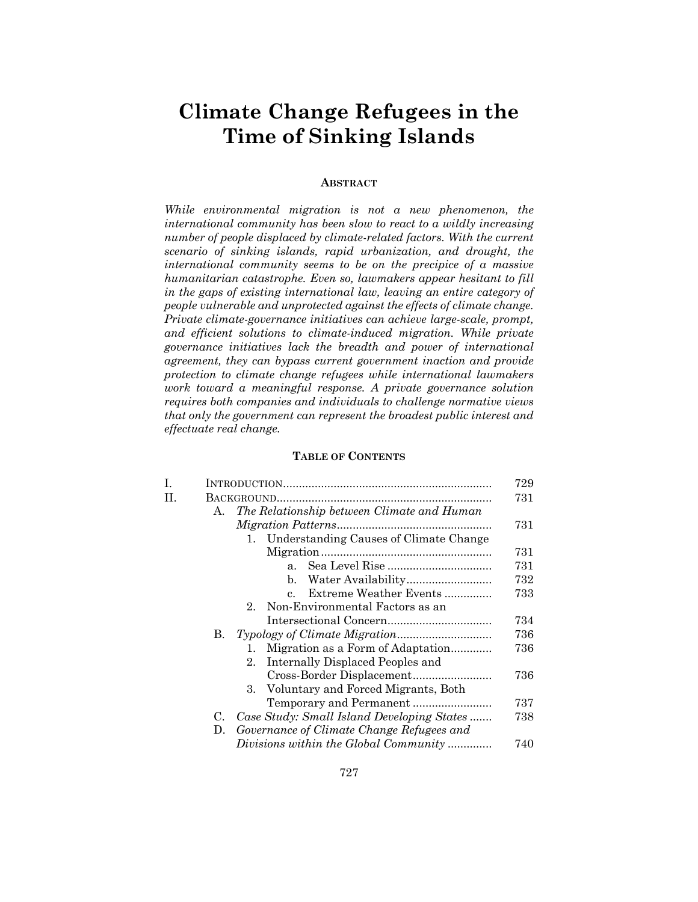# **Climate Change Refugees in the Time of Sinking Islands**

## **ABSTRACT**

*While environmental migration is not a new phenomenon, the international community has been slow to react to a wildly increasing number of people displaced by climate-related factors. With the current scenario of sinking islands, rapid urbanization, and drought, the international community seems to be on the precipice of a massive humanitarian catastrophe. Even so, lawmakers appear hesitant to fill in the gaps of existing international law, leaving an entire category of people vulnerable and unprotected against the effects of climate change. Private climate-governance initiatives can achieve large-scale, prompt, and efficient solutions to climate-induced migration. While private governance initiatives lack the breadth and power of international agreement, they can bypass current government inaction and provide protection to climate change refugees while international lawmakers work toward a meaningful response. A private governance solution requires both companies and individuals to challenge normative views that only the government can represent the broadest public interest and effectuate real change.* 

# **TABLE OF CONTENTS**

| I. |    |                                                       | 729 |
|----|----|-------------------------------------------------------|-----|
| H. |    |                                                       | 731 |
|    | A. | The Relationship between Climate and Human            |     |
|    |    |                                                       | 731 |
|    |    | Understanding Causes of Climate Change<br>$1_{\cdot}$ |     |
|    |    |                                                       | 731 |
|    |    | a <sub>1</sub>                                        | 731 |
|    |    | $\mathbf{b}$ .                                        | 732 |
|    |    | Extreme Weather Events<br>$\mathbf{c}$ .              | 733 |
|    |    | Non-Environmental Factors as an<br>$2_{-}$            |     |
|    |    |                                                       | 734 |
|    | В. |                                                       | 736 |
|    |    | Migration as a Form of Adaptation<br>1.               | 736 |
|    |    | Internally Displaced Peoples and<br>$2_{-}$           |     |
|    |    |                                                       | 736 |
|    |    | 3. Voluntary and Forced Migrants, Both                |     |
|    |    |                                                       | 737 |
|    | C. | Case Study: Small Island Developing States            | 738 |
|    | D. | Governance of Climate Change Refugees and             |     |
|    |    | Divisions within the Global Community                 | 740 |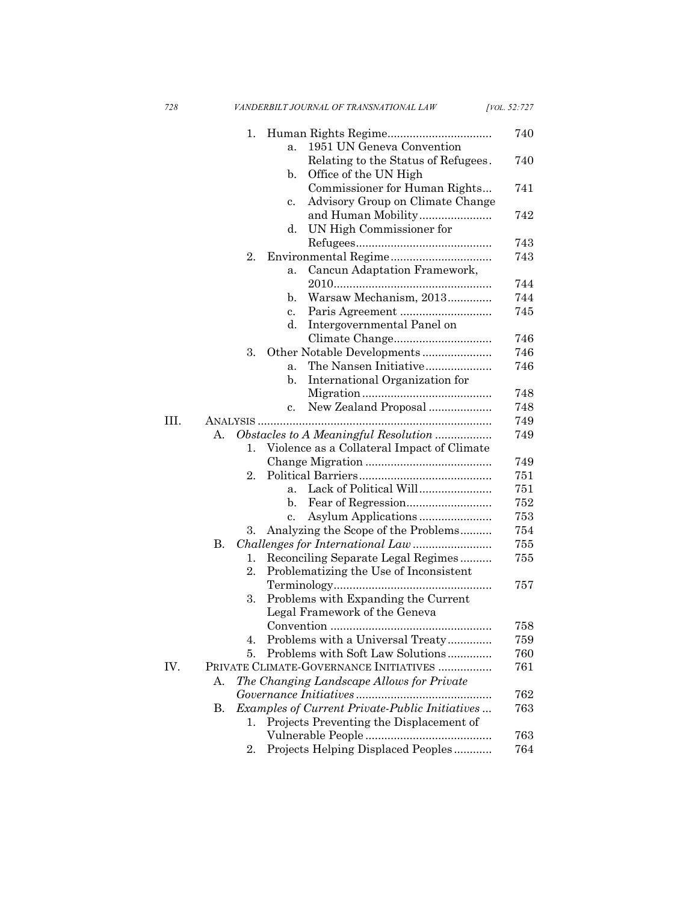|     | 1.                                                                                                                                                                                                                                                                                                                                                                                                                                                                                                                                                                                                                                                                                                                                                                                                                                                                                                                                                                                                                                                               |                                         | 740 |
|-----|------------------------------------------------------------------------------------------------------------------------------------------------------------------------------------------------------------------------------------------------------------------------------------------------------------------------------------------------------------------------------------------------------------------------------------------------------------------------------------------------------------------------------------------------------------------------------------------------------------------------------------------------------------------------------------------------------------------------------------------------------------------------------------------------------------------------------------------------------------------------------------------------------------------------------------------------------------------------------------------------------------------------------------------------------------------|-----------------------------------------|-----|
|     |                                                                                                                                                                                                                                                                                                                                                                                                                                                                                                                                                                                                                                                                                                                                                                                                                                                                                                                                                                                                                                                                  | 1951 UN Geneva Convention<br>a.         |     |
|     |                                                                                                                                                                                                                                                                                                                                                                                                                                                                                                                                                                                                                                                                                                                                                                                                                                                                                                                                                                                                                                                                  |                                         | 740 |
|     |                                                                                                                                                                                                                                                                                                                                                                                                                                                                                                                                                                                                                                                                                                                                                                                                                                                                                                                                                                                                                                                                  | Office of the UN High<br>$\mathbf{b}$ . |     |
|     |                                                                                                                                                                                                                                                                                                                                                                                                                                                                                                                                                                                                                                                                                                                                                                                                                                                                                                                                                                                                                                                                  | Commissioner for Human Rights           | 741 |
|     |                                                                                                                                                                                                                                                                                                                                                                                                                                                                                                                                                                                                                                                                                                                                                                                                                                                                                                                                                                                                                                                                  | c.                                      |     |
|     |                                                                                                                                                                                                                                                                                                                                                                                                                                                                                                                                                                                                                                                                                                                                                                                                                                                                                                                                                                                                                                                                  |                                         | 742 |
|     |                                                                                                                                                                                                                                                                                                                                                                                                                                                                                                                                                                                                                                                                                                                                                                                                                                                                                                                                                                                                                                                                  | d.<br>UN High Commissioner for          |     |
|     | Relating to the Status of Refugees.<br>Advisory Group on Climate Change<br>2.<br>Cancun Adaptation Framework,<br>a.<br>Warsaw Mechanism, 2013<br>$\mathbf b$ .<br>$c_{\cdot}$<br>d.<br>Intergovernmental Panel on<br>Climate Change<br>3.<br>Other Notable Developments<br>a <sub>x</sub><br>International Organization for<br>$\mathbf{b}$ .<br>New Zealand Proposal<br>c.<br>ANALYSIS<br>Obstacles to A Meaningful Resolution<br>А.<br>Violence as a Collateral Impact of Climate<br>1.<br>2.<br>a <sub>x</sub><br>b.<br>$\mathbf{c}$ .<br>Analyzing the Scope of the Problems<br>3.<br>В.<br>Reconciling Separate Legal Regimes<br>1.<br>2.<br>Problematizing the Use of Inconsistent<br>3.<br>Problems with Expanding the Current<br>Legal Framework of the Geneva<br>Problems with a Universal Treaty<br>4.<br>Problems with Soft Law Solutions<br>5.<br>PRIVATE CLIMATE-GOVERNANCE INITIATIVES<br>The Changing Landscape Allows for Private<br>А.<br>Examples of Current Private-Public Initiatives<br>В.<br>Projects Preventing the Displacement of<br>1. | 743                                     |     |
|     |                                                                                                                                                                                                                                                                                                                                                                                                                                                                                                                                                                                                                                                                                                                                                                                                                                                                                                                                                                                                                                                                  |                                         | 743 |
|     |                                                                                                                                                                                                                                                                                                                                                                                                                                                                                                                                                                                                                                                                                                                                                                                                                                                                                                                                                                                                                                                                  |                                         |     |
|     |                                                                                                                                                                                                                                                                                                                                                                                                                                                                                                                                                                                                                                                                                                                                                                                                                                                                                                                                                                                                                                                                  |                                         | 744 |
|     |                                                                                                                                                                                                                                                                                                                                                                                                                                                                                                                                                                                                                                                                                                                                                                                                                                                                                                                                                                                                                                                                  |                                         | 744 |
|     |                                                                                                                                                                                                                                                                                                                                                                                                                                                                                                                                                                                                                                                                                                                                                                                                                                                                                                                                                                                                                                                                  |                                         | 745 |
|     |                                                                                                                                                                                                                                                                                                                                                                                                                                                                                                                                                                                                                                                                                                                                                                                                                                                                                                                                                                                                                                                                  |                                         |     |
|     |                                                                                                                                                                                                                                                                                                                                                                                                                                                                                                                                                                                                                                                                                                                                                                                                                                                                                                                                                                                                                                                                  |                                         | 746 |
|     |                                                                                                                                                                                                                                                                                                                                                                                                                                                                                                                                                                                                                                                                                                                                                                                                                                                                                                                                                                                                                                                                  |                                         | 746 |
|     |                                                                                                                                                                                                                                                                                                                                                                                                                                                                                                                                                                                                                                                                                                                                                                                                                                                                                                                                                                                                                                                                  |                                         | 746 |
|     |                                                                                                                                                                                                                                                                                                                                                                                                                                                                                                                                                                                                                                                                                                                                                                                                                                                                                                                                                                                                                                                                  |                                         |     |
|     |                                                                                                                                                                                                                                                                                                                                                                                                                                                                                                                                                                                                                                                                                                                                                                                                                                                                                                                                                                                                                                                                  |                                         | 748 |
|     |                                                                                                                                                                                                                                                                                                                                                                                                                                                                                                                                                                                                                                                                                                                                                                                                                                                                                                                                                                                                                                                                  |                                         | 748 |
| HL. |                                                                                                                                                                                                                                                                                                                                                                                                                                                                                                                                                                                                                                                                                                                                                                                                                                                                                                                                                                                                                                                                  |                                         | 749 |
|     |                                                                                                                                                                                                                                                                                                                                                                                                                                                                                                                                                                                                                                                                                                                                                                                                                                                                                                                                                                                                                                                                  |                                         | 749 |
|     |                                                                                                                                                                                                                                                                                                                                                                                                                                                                                                                                                                                                                                                                                                                                                                                                                                                                                                                                                                                                                                                                  |                                         |     |
|     |                                                                                                                                                                                                                                                                                                                                                                                                                                                                                                                                                                                                                                                                                                                                                                                                                                                                                                                                                                                                                                                                  |                                         | 749 |
|     |                                                                                                                                                                                                                                                                                                                                                                                                                                                                                                                                                                                                                                                                                                                                                                                                                                                                                                                                                                                                                                                                  |                                         | 751 |
|     |                                                                                                                                                                                                                                                                                                                                                                                                                                                                                                                                                                                                                                                                                                                                                                                                                                                                                                                                                                                                                                                                  |                                         | 751 |
|     |                                                                                                                                                                                                                                                                                                                                                                                                                                                                                                                                                                                                                                                                                                                                                                                                                                                                                                                                                                                                                                                                  |                                         | 752 |
|     |                                                                                                                                                                                                                                                                                                                                                                                                                                                                                                                                                                                                                                                                                                                                                                                                                                                                                                                                                                                                                                                                  |                                         | 753 |
|     |                                                                                                                                                                                                                                                                                                                                                                                                                                                                                                                                                                                                                                                                                                                                                                                                                                                                                                                                                                                                                                                                  |                                         | 754 |
|     |                                                                                                                                                                                                                                                                                                                                                                                                                                                                                                                                                                                                                                                                                                                                                                                                                                                                                                                                                                                                                                                                  |                                         | 755 |
|     |                                                                                                                                                                                                                                                                                                                                                                                                                                                                                                                                                                                                                                                                                                                                                                                                                                                                                                                                                                                                                                                                  |                                         | 755 |
|     |                                                                                                                                                                                                                                                                                                                                                                                                                                                                                                                                                                                                                                                                                                                                                                                                                                                                                                                                                                                                                                                                  |                                         |     |
|     |                                                                                                                                                                                                                                                                                                                                                                                                                                                                                                                                                                                                                                                                                                                                                                                                                                                                                                                                                                                                                                                                  |                                         | 757 |
|     |                                                                                                                                                                                                                                                                                                                                                                                                                                                                                                                                                                                                                                                                                                                                                                                                                                                                                                                                                                                                                                                                  |                                         |     |
|     |                                                                                                                                                                                                                                                                                                                                                                                                                                                                                                                                                                                                                                                                                                                                                                                                                                                                                                                                                                                                                                                                  |                                         |     |
|     |                                                                                                                                                                                                                                                                                                                                                                                                                                                                                                                                                                                                                                                                                                                                                                                                                                                                                                                                                                                                                                                                  |                                         | 758 |
|     |                                                                                                                                                                                                                                                                                                                                                                                                                                                                                                                                                                                                                                                                                                                                                                                                                                                                                                                                                                                                                                                                  |                                         | 759 |
|     |                                                                                                                                                                                                                                                                                                                                                                                                                                                                                                                                                                                                                                                                                                                                                                                                                                                                                                                                                                                                                                                                  |                                         | 760 |
| IV. |                                                                                                                                                                                                                                                                                                                                                                                                                                                                                                                                                                                                                                                                                                                                                                                                                                                                                                                                                                                                                                                                  |                                         | 761 |
|     |                                                                                                                                                                                                                                                                                                                                                                                                                                                                                                                                                                                                                                                                                                                                                                                                                                                                                                                                                                                                                                                                  |                                         |     |
|     |                                                                                                                                                                                                                                                                                                                                                                                                                                                                                                                                                                                                                                                                                                                                                                                                                                                                                                                                                                                                                                                                  |                                         | 762 |
|     |                                                                                                                                                                                                                                                                                                                                                                                                                                                                                                                                                                                                                                                                                                                                                                                                                                                                                                                                                                                                                                                                  |                                         | 763 |
|     |                                                                                                                                                                                                                                                                                                                                                                                                                                                                                                                                                                                                                                                                                                                                                                                                                                                                                                                                                                                                                                                                  |                                         |     |
|     |                                                                                                                                                                                                                                                                                                                                                                                                                                                                                                                                                                                                                                                                                                                                                                                                                                                                                                                                                                                                                                                                  |                                         | 763 |
|     | 2.                                                                                                                                                                                                                                                                                                                                                                                                                                                                                                                                                                                                                                                                                                                                                                                                                                                                                                                                                                                                                                                               | Projects Helping Displaced Peoples      | 764 |
|     |                                                                                                                                                                                                                                                                                                                                                                                                                                                                                                                                                                                                                                                                                                                                                                                                                                                                                                                                                                                                                                                                  |                                         |     |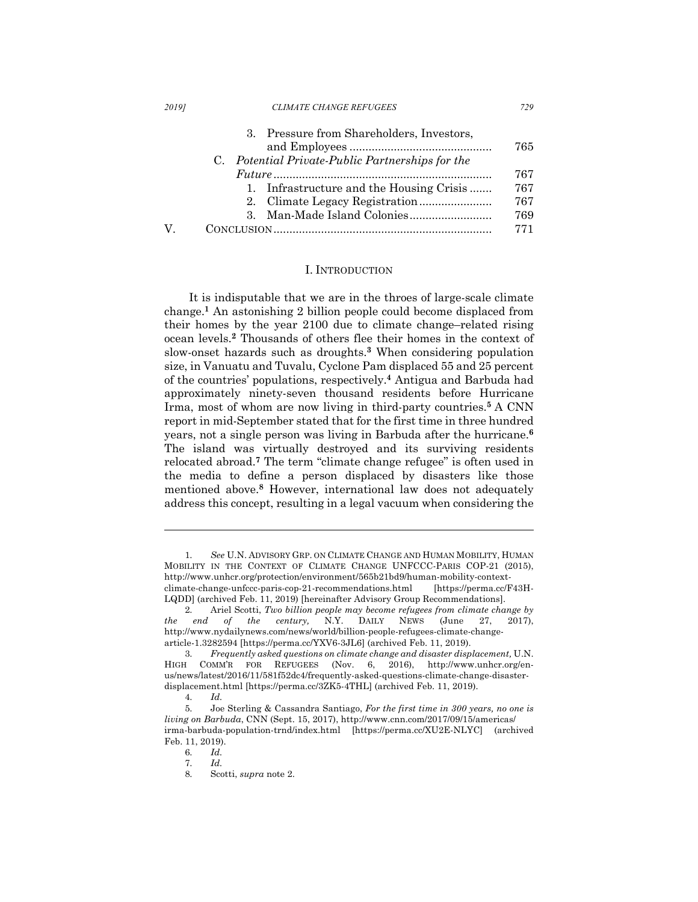| <b>CLIMATE CHANGE REFUGEES</b><br>20191 |  |
|-----------------------------------------|--|
|-----------------------------------------|--|

|   | 3. Pressure from Shareholders, Investors,        |     |
|---|--------------------------------------------------|-----|
|   |                                                  | 765 |
|   | C. Potential Private-Public Partnerships for the |     |
|   |                                                  | 767 |
|   | 1. Infrastructure and the Housing Crisis         | 767 |
|   |                                                  | 767 |
|   |                                                  | 769 |
| V |                                                  | 771 |

#### I. INTRODUCTION

It is indisputable that we are in the throes of large-scale climate change.**<sup>1</sup>** An astonishing 2 billion people could become displaced from their homes by the year 2100 due to climate change–related rising ocean levels.**<sup>2</sup>** Thousands of others flee their homes in the context of slow-onset hazards such as droughts.**<sup>3</sup>** When considering population size, in Vanuatu and Tuvalu, Cyclone Pam displaced 55 and 25 percent of the countries' populations, respectively. **<sup>4</sup>** Antigua and Barbuda had approximately ninety-seven thousand residents before Hurricane Irma, most of whom are now living in third-party countries. **<sup>5</sup>** A CNN report in mid-September stated that for the first time in three hundred years, not a single person was living in Barbuda after the hurricane.**<sup>6</sup>** The island was virtually destroyed and its surviving residents relocated abroad. **<sup>7</sup>** The term "climate change refugee" is often used in the media to define a person displaced by disasters like those mentioned above.**<sup>8</sup>** However, international law does not adequately address this concept, resulting in a legal vacuum when considering the

<sup>1.</sup> *See* U.N. ADVISORY GRP. ON CLIMATE CHANGE AND HUMAN MOBILITY, HUMAN MOBILITY IN THE CONTEXT OF CLIMATE CHANGE UNFCCC-PARIS COP-21 (2015), http://www.unhcr.org/protection/environment/565b21bd9/human-mobility-contextclimate-change-unfccc-paris-cop-21-recommendations.html [https://perma.cc/F43H-LQDD] (archived Feb. 11, 2019) [hereinafter Advisory Group Recommendations].

<sup>2.</sup> Ariel Scotti, *Two billion people may become refugees from climate change by the end of the century,* N.Y. DAILY NEWS (June 27, 2017), http://www.nydailynews.com/news/world/billion-people-refugees-climate-changearticle-1.3282594 [https://perma.cc/YXV6-3JL6] (archived Feb. 11, 2019).

<sup>3.</sup> *Frequently asked questions on climate change and disaster displacement,* U.N. HIGH COMM'R FOR REFUGEES (Nov. 6, 2016), http://www.unhcr.org/enus/news/latest/2016/11/581f52dc4/frequently-asked-questions-climate-change-disasterdisplacement.html [https://perma.cc/3ZK5-4THL] (archived Feb. 11, 2019).

<sup>4.</sup> *Id.*

<sup>5.</sup> Joe Sterling & Cassandra Santiago, *For the first time in 300 years, no one is living on Barbuda*, CNN (Sept. 15, 2017), http://www.cnn.com/2017/09/15/americas/ irma-barbuda-population-trnd/index.html [https://perma.cc/XU2E-NLYC] (archived Feb. 11, 2019).

<sup>6.</sup> *Id.*

<sup>7.</sup> *Id.*

<sup>8.</sup> Scotti, *supra* note 2.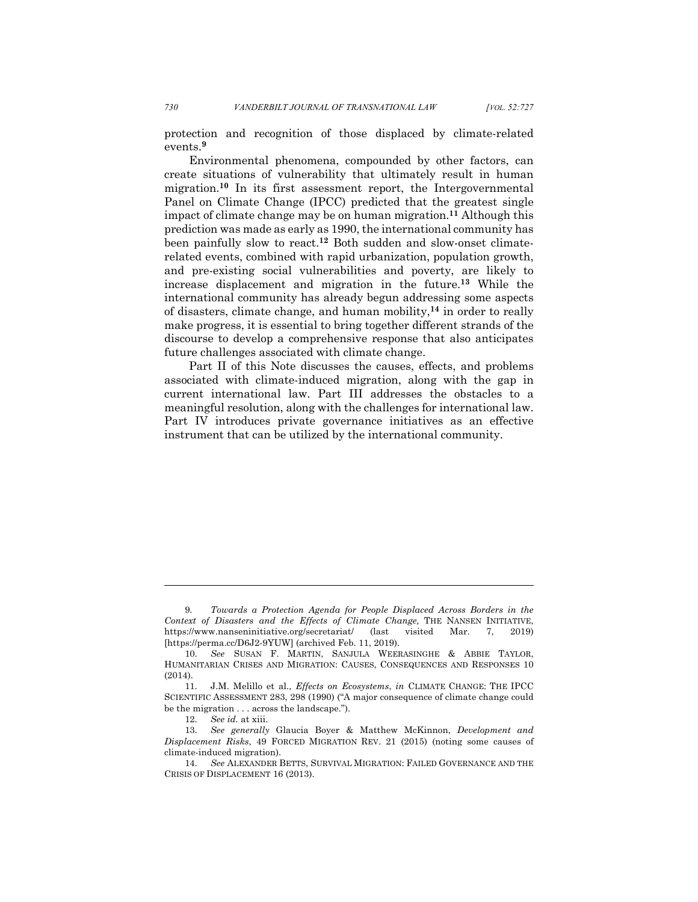protection and recognition of those displaced by climate-related events.**<sup>9</sup>**

Environmental phenomena, compounded by other factors, can create situations of vulnerability that ultimately result in human migration.**<sup>10</sup>** In its first assessment report, the Intergovernmental Panel on Climate Change (IPCC) predicted that the greatest single impact of climate change may be on human migration.**<sup>11</sup>** Although this prediction was made as early as 1990, the international community has been painfully slow to react.**<sup>12</sup>** Both sudden and slow-onset climaterelated events, combined with rapid urbanization, population growth, and pre-existing social vulnerabilities and poverty, are likely to increase displacement and migration in the future. **<sup>13</sup>** While the international community has already begun addressing some aspects of disasters, climate change, and human mobility,**<sup>14</sup>** in order to really make progress, it is essential to bring together different strands of the discourse to develop a comprehensive response that also anticipates future challenges associated with climate change.

Part II of this Note discusses the causes, effects, and problems associated with climate-induced migration, along with the gap in current international law. Part III addresses the obstacles to a meaningful resolution, along with the challenges for international law. Part IV introduces private governance initiatives as an effective instrument that can be utilized by the international community.

<sup>9.</sup> *Towards a Protection Agenda for People Displaced Across Borders in the Context of Disasters and the Effects of Climate Change,* THE NANSEN INITIATIVE, https://www.nanseninitiative.org/secretariat/ (last visited Mar. 7, 2019) [https://perma.cc/D6J2-9YUW] (archived Feb. 11, 2019).

<sup>10.</sup> *See* SUSAN F. MARTIN, SANJULA WEERASINGHE & ABBIE TAYLOR, HUMANITARIAN CRISES AND MIGRATION: CAUSES, CONSEQUENCES AND RESPONSES 10 (2014).

<sup>11.</sup> J.M. Melillo et al., *Effects on Ecosystems*, *in* CLIMATE CHANGE: THE IPCC SCIENTIFIC ASSESSMENT 283, 298 (1990) ("A major consequence of climate change could be the migration . . . across the landscape.").

<sup>12.</sup> *See id.* at xiii.

<sup>13.</sup> *See generally* Glaucia Boyer & Matthew McKinnon, *Development and Displacement Risks*, 49 FORCED MIGRATION REV. 21 (2015) (noting some causes of climate-induced migration).

<sup>14.</sup> *See* ALEXANDER BETTS, SURVIVAL MIGRATION: FAILED GOVERNANCE AND THE CRISIS OF DISPLACEMENT 16 (2013).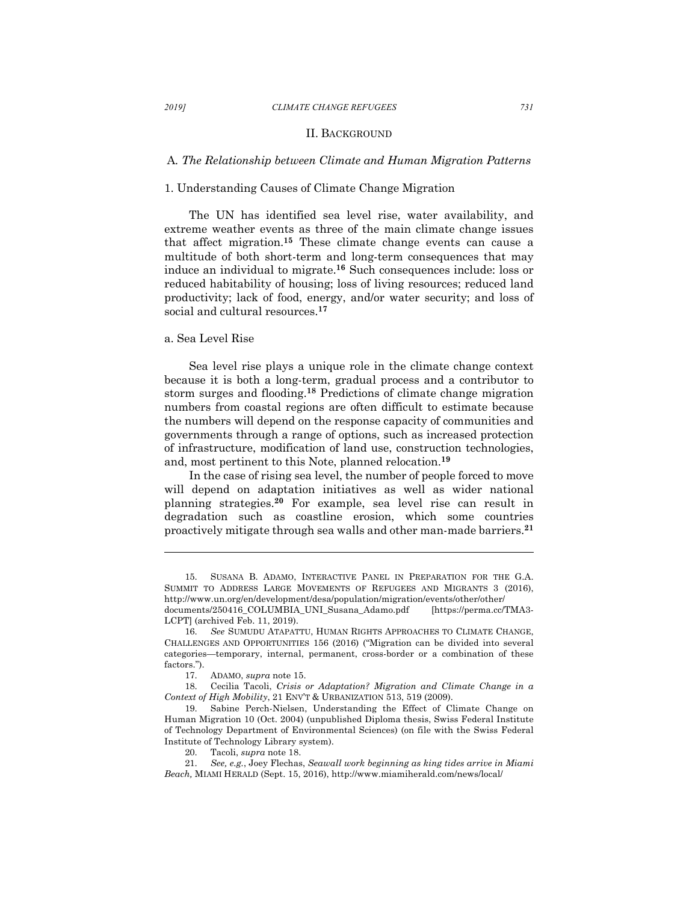#### *2019] CLIMATE CHANGE REFUGEES 731*

#### II. BACKGROUND

## A*. The Relationship between Climate and Human Migration Patterns*

## 1. Understanding Causes of Climate Change Migration

The UN has identified sea level rise, water availability, and extreme weather events as three of the main climate change issues that affect migration.**<sup>15</sup>** These climate change events can cause a multitude of both short-term and long-term consequences that may induce an individual to migrate.**<sup>16</sup>** Such consequences include: loss or reduced habitability of housing; loss of living resources; reduced land productivity; lack of food, energy, and/or water security; and loss of social and cultural resources.**<sup>17</sup>**

## a. Sea Level Rise

l

Sea level rise plays a unique role in the climate change context because it is both a long-term, gradual process and a contributor to storm surges and flooding.**<sup>18</sup>** Predictions of climate change migration numbers from coastal regions are often difficult to estimate because the numbers will depend on the response capacity of communities and governments through a range of options, such as increased protection of infrastructure, modification of land use, construction technologies, and, most pertinent to this Note, planned relocation. **19**

In the case of rising sea level, the number of people forced to move will depend on adaptation initiatives as well as wider national planning strategies.**<sup>20</sup>** For example, sea level rise can result in degradation such as coastline erosion, which some countries proactively mitigate through sea walls and other man-made barriers.**<sup>21</sup>**

SUSANA B. ADAMO, INTERACTIVE PANEL IN PREPARATION FOR THE G.A. SUMMIT TO ADDRESS LARGE MOVEMENTS OF REFUGEES AND MIGRANTS 3 (2016), http://www.un.org/en/development/desa/population/migration/events/other/other/ documents/250416\_COLUMBIA\_UNI\_Susana\_Adamo.pdf [https://perma.cc/TMA3- LCPT] (archived Feb. 11, 2019).

<sup>16.</sup> *See* SUMUDU ATAPATTU, HUMAN RIGHTS APPROACHES TO CLIMATE CHANGE, CHALLENGES AND OPPORTUNITIES 156 (2016) ("Migration can be divided into several categories—temporary, internal, permanent, cross-border or a combination of these factors.").

<sup>17.</sup> ADAMO, *supra* note 15.

<sup>18.</sup> Cecilia Tacoli, *Crisis or Adaptation? Migration and Climate Change in a Context of High Mobility*, 21 ENV'T & URBANIZATION 513, 519 (2009).

<sup>19.</sup> Sabine Perch-Nielsen, Understanding the Effect of Climate Change on Human Migration 10 (Oct. 2004) (unpublished Diploma thesis, Swiss Federal Institute of Technology Department of Environmental Sciences) (on file with the Swiss Federal Institute of Technology Library system).

<sup>20.</sup> Tacoli, *supra* note 18.

<sup>21.</sup> *See, e.g.*, Joey Flechas, *Seawall work beginning as king tides arrive in Miami Beach,* MIAMI HERALD (Sept. 15, 2016), http://www.miamiherald.com/news/local/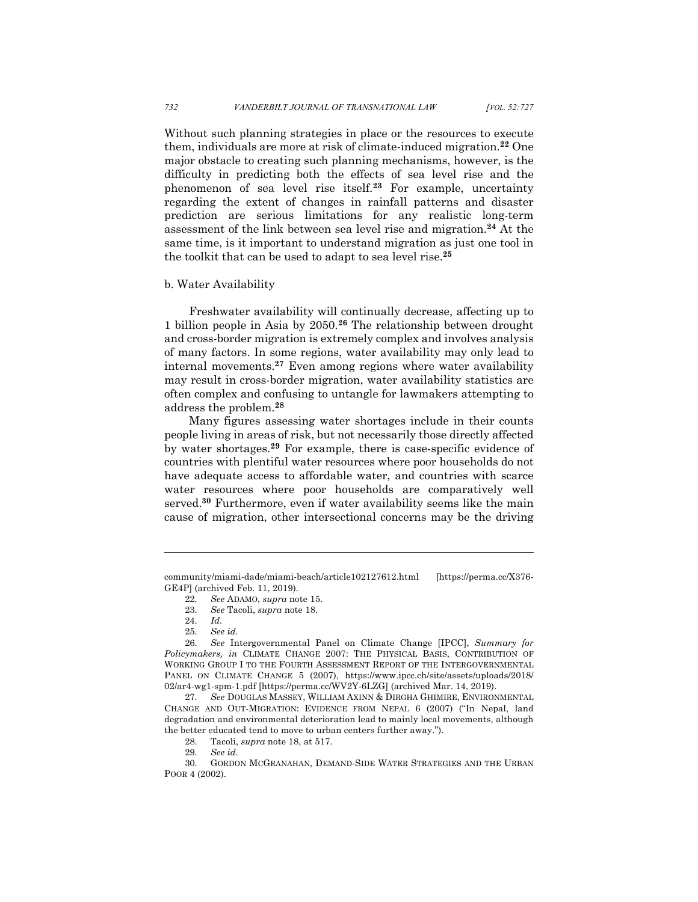Without such planning strategies in place or the resources to execute them, individuals are more at risk of climate-induced migration.**<sup>22</sup>** One major obstacle to creating such planning mechanisms, however, is the difficulty in predicting both the effects of sea level rise and the phenomenon of sea level rise itself.**<sup>23</sup>** For example, uncertainty regarding the extent of changes in rainfall patterns and disaster prediction are serious limitations for any realistic long-term assessment of the link between sea level rise and migration.**<sup>24</sup>** At the same time, is it important to understand migration as just one tool in the toolkit that can be used to adapt to sea level rise.**<sup>25</sup>**

#### b. Water Availability

Freshwater availability will continually decrease, affecting up to 1 billion people in Asia by 2050.**<sup>26</sup>** The relationship between drought and cross-border migration is extremely complex and involves analysis of many factors. In some regions, water availability may only lead to internal movements.**<sup>27</sup>** Even among regions where water availability may result in cross-border migration, water availability statistics are often complex and confusing to untangle for lawmakers attempting to address the problem.**<sup>28</sup>**

Many figures assessing water shortages include in their counts people living in areas of risk, but not necessarily those directly affected by water shortages.**<sup>29</sup>** For example, there is case-specific evidence of countries with plentiful water resources where poor households do not have adequate access to affordable water, and countries with scarce water resources where poor households are comparatively well served.**<sup>30</sup>** Furthermore, even if water availability seems like the main cause of migration, other intersectional concerns may be the driving

community/miami-dade/miami-beach/article102127612.html [https://perma.cc/X376- GE4P] (archived Feb. 11, 2019).

<sup>22.</sup> *See* ADAMO, *supra* note 15.

<sup>23.</sup> *See* Tacoli, *supra* note 18.

<sup>24.</sup> *Id.*

<sup>25.</sup> *See id.*

<sup>26.</sup> *See* Intergovernmental Panel on Climate Change [IPCC], *Summary for Policymakers, in* CLIMATE CHANGE 2007: THE PHYSICAL BASIS, CONTRIBUTION OF WORKING GROUP I TO THE FOURTH ASSESSMENT REPORT OF THE INTERGOVERNMENTAL PANEL ON CLIMATE CHANGE 5 (2007), https://www.ipcc.ch/site/assets/uploads/2018/ 02/ar4-wg1-spm-1.pdf [https://perma.cc/WV2Y-6LZG] (archived Mar. 14, 2019).

<sup>27.</sup> *See* DOUGLAS MASSEY, WILLIAM AXINN & DIRGHA GHIMIRE, ENVIRONMENTAL CHANGE AND OUT-MIGRATION: EVIDENCE FROM NEPAL 6 (2007) ("In Nepal, land degradation and environmental deterioration lead to mainly local movements, although the better educated tend to move to urban centers further away.").

<sup>28.</sup> Tacoli, *supra* note 18, at 517.

<sup>29.</sup> *See id.*

<sup>30.</sup> GORDON MCGRANAHAN, DEMAND-SIDE WATER STRATEGIES AND THE URBAN POOR 4 (2002).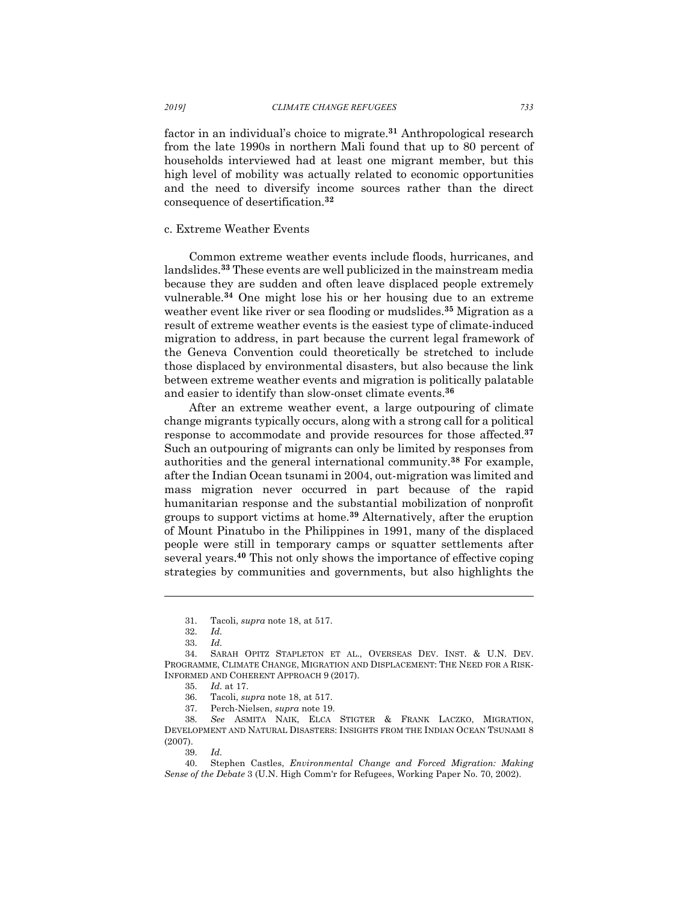factor in an individual's choice to migrate.**<sup>31</sup>** Anthropological research from the late 1990s in northern Mali found that up to 80 percent of households interviewed had at least one migrant member, but this high level of mobility was actually related to economic opportunities and the need to diversify income sources rather than the direct consequence of desertification.**<sup>32</sup>**

## c. Extreme Weather Events

Common extreme weather events include floods, hurricanes, and landslides.**<sup>33</sup>** These events are well publicized in the mainstream media because they are sudden and often leave displaced people extremely vulnerable.**<sup>34</sup>** One might lose his or her housing due to an extreme weather event like river or sea flooding or mudslides.**<sup>35</sup>** Migration as a result of extreme weather events is the easiest type of climate-induced migration to address, in part because the current legal framework of the Geneva Convention could theoretically be stretched to include those displaced by environmental disasters, but also because the link between extreme weather events and migration is politically palatable and easier to identify than slow-onset climate events.**<sup>36</sup>**

After an extreme weather event, a large outpouring of climate change migrants typically occurs, along with a strong call for a political response to accommodate and provide resources for those affected.**<sup>37</sup>** Such an outpouring of migrants can only be limited by responses from authorities and the general international community.**<sup>38</sup>** For example, after the Indian Ocean tsunami in 2004, out-migration was limited and mass migration never occurred in part because of the rapid humanitarian response and the substantial mobilization of nonprofit groups to support victims at home.**<sup>39</sup>** Alternatively, after the eruption of Mount Pinatubo in the Philippines in 1991, many of the displaced people were still in temporary camps or squatter settlements after several years.**<sup>40</sup>** This not only shows the importance of effective coping strategies by communities and governments, but also highlights the

<sup>31.</sup> Tacoli, *supra* note 18, at 517.

<sup>32.</sup> *Id.*

<sup>33.</sup> *Id.*

<sup>34.</sup> SARAH OPITZ STAPLETON ET AL., OVERSEAS DEV. INST. & U.N. DEV. PROGRAMME, CLIMATE CHANGE, MIGRATION AND DISPLACEMENT: THE NEED FOR A RISK-INFORMED AND COHERENT APPROACH 9 (2017).

<sup>35.</sup> *Id.* at 17.

<sup>36.</sup> Tacoli, *supra* note 18, at 517.

<sup>37.</sup> Perch-Nielsen, *supra* note 19.

<sup>38.</sup> *See* ASMITA NAIK, ELCA STIGTER & FRANK LACZKO, MIGRATION, DEVELOPMENT AND NATURAL DISASTERS: INSIGHTS FROM THE INDIAN OCEAN TSUNAMI 8 (2007).

<sup>39.</sup> *Id.*

<sup>40.</sup> Stephen Castles, *Environmental Change and Forced Migration: Making Sense of the Debate* 3 (U.N. High Comm'r for Refugees, Working Paper No. 70, 2002).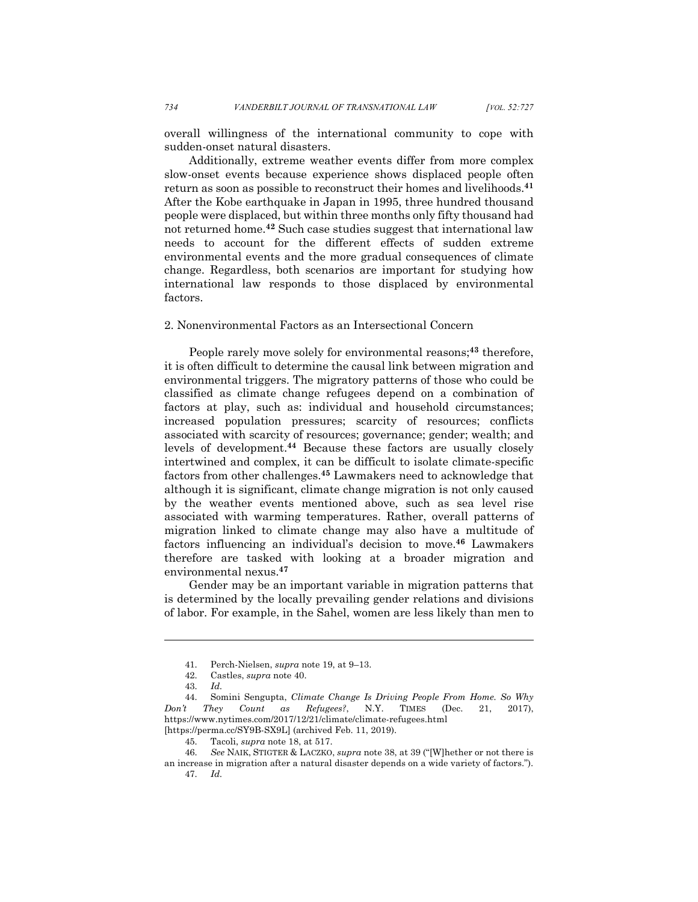overall willingness of the international community to cope with sudden-onset natural disasters.

Additionally, extreme weather events differ from more complex slow-onset events because experience shows displaced people often return as soon as possible to reconstruct their homes and livelihoods.**<sup>41</sup>** After the Kobe earthquake in Japan in 1995, three hundred thousand people were displaced, but within three months only fifty thousand had not returned home.**<sup>42</sup>** Such case studies suggest that international law needs to account for the different effects of sudden extreme environmental events and the more gradual consequences of climate change. Regardless, both scenarios are important for studying how international law responds to those displaced by environmental factors.

## 2. Nonenvironmental Factors as an Intersectional Concern

People rarely move solely for environmental reasons;**<sup>43</sup>** therefore, it is often difficult to determine the causal link between migration and environmental triggers. The migratory patterns of those who could be classified as climate change refugees depend on a combination of factors at play, such as: individual and household circumstances; increased population pressures; scarcity of resources; conflicts associated with scarcity of resources; governance; gender; wealth; and levels of development.**<sup>44</sup>** Because these factors are usually closely intertwined and complex, it can be difficult to isolate climate-specific factors from other challenges.**<sup>45</sup>** Lawmakers need to acknowledge that although it is significant, climate change migration is not only caused by the weather events mentioned above, such as sea level rise associated with warming temperatures. Rather, overall patterns of migration linked to climate change may also have a multitude of factors influencing an individual's decision to move.**<sup>46</sup>** Lawmakers therefore are tasked with looking at a broader migration and environmental nexus.**<sup>47</sup>**

Gender may be an important variable in migration patterns that is determined by the locally prevailing gender relations and divisions of labor. For example, in the Sahel, women are less likely than men to

<sup>41.</sup> Perch-Nielsen, *supra* note 19, at 9–13.

<sup>42.</sup> Castles, *supra* note 40.

<sup>43.</sup> *Id.*

<sup>44.</sup> Somini Sengupta, *Climate Change Is Driving People From Home. So Why Don't They Count as Refugees?*, N.Y. TIMES (Dec. 21, 2017), https://www.nytimes.com/2017/12/21/climate/climate-refugees.html

<sup>[</sup>https://perma.cc/SY9B-SX9L] (archived Feb. 11, 2019).

<sup>45.</sup> Tacoli, *supra* note 18, at 517.

<sup>46.</sup> *See* NAIK, STIGTER & LACZKO, *supra* note 38, at 39 ("[W]hether or not there is an increase in migration after a natural disaster depends on a wide variety of factors."). 47. *Id.*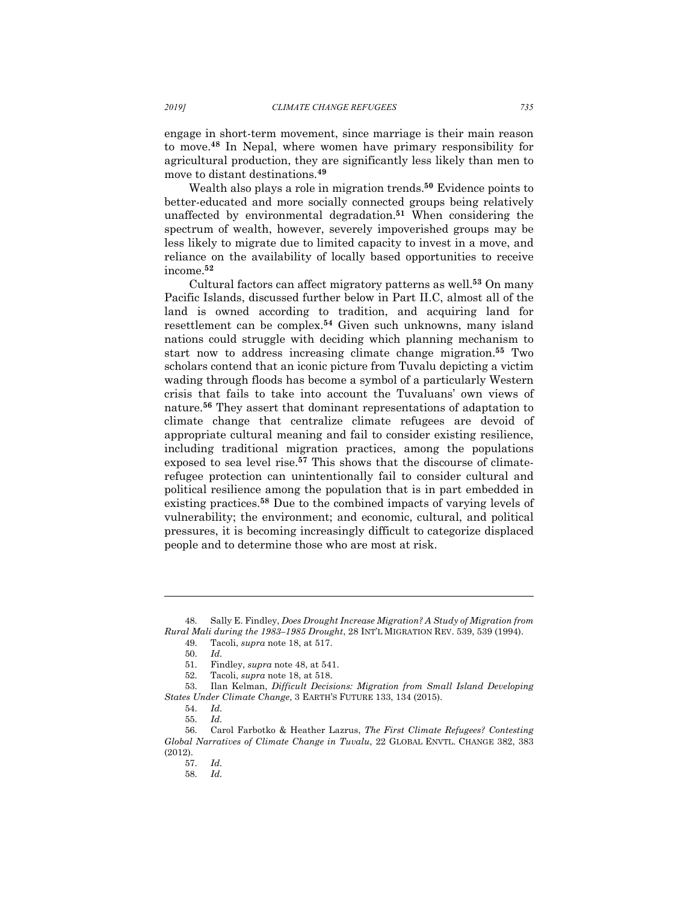engage in short-term movement, since marriage is their main reason to move.**<sup>48</sup>** In Nepal, where women have primary responsibility for agricultural production, they are significantly less likely than men to move to distant destinations.**<sup>49</sup>**

Wealth also plays a role in migration trends.**<sup>50</sup>** Evidence points to better-educated and more socially connected groups being relatively unaffected by environmental degradation.**<sup>51</sup>** When considering the spectrum of wealth, however, severely impoverished groups may be less likely to migrate due to limited capacity to invest in a move, and reliance on the availability of locally based opportunities to receive income.**<sup>52</sup>**

Cultural factors can affect migratory patterns as well.**<sup>53</sup>** On many Pacific Islands, discussed further below in Part II.C, almost all of the land is owned according to tradition, and acquiring land for resettlement can be complex.**<sup>54</sup>** Given such unknowns, many island nations could struggle with deciding which planning mechanism to start now to address increasing climate change migration. **<sup>55</sup>** Two scholars contend that an iconic picture from Tuvalu depicting a victim wading through floods has become a symbol of a particularly Western crisis that fails to take into account the Tuvaluans' own views of nature.**<sup>56</sup>** They assert that dominant representations of adaptation to climate change that centralize climate refugees are devoid of appropriate cultural meaning and fail to consider existing resilience, including traditional migration practices, among the populations exposed to sea level rise.**<sup>57</sup>** This shows that the discourse of climaterefugee protection can unintentionally fail to consider cultural and political resilience among the population that is in part embedded in existing practices.**<sup>58</sup>** Due to the combined impacts of varying levels of vulnerability; the environment; and economic, cultural, and political pressures, it is becoming increasingly difficult to categorize displaced people and to determine those who are most at risk.

<sup>48.</sup> Sally E. Findley, *Does Drought Increase Migration? A Study of Migration from Rural Mali during the 1983–1985 Drought*, 28 INT'L MIGRATION REV. 539, 539 (1994).

<sup>49.</sup> Tacoli, *supra* note 18, at 517.

<sup>50.</sup> *Id.*

<sup>51.</sup> Findley, *supra* note 48, at 541.

<sup>52.</sup> Tacoli, *supra* note 18, at 518.

<sup>53.</sup> Ilan Kelman, *Difficult Decisions: Migration from Small Island Developing States Under Climate Change*, 3 EARTH'S FUTURE 133, 134 (2015).

<sup>54.</sup> *Id.*

<sup>55.</sup> *Id.*

<sup>56.</sup> Carol Farbotko & Heather Lazrus, *The First Climate Refugees? Contesting Global Narratives of Climate Change in Tuvalu*, 22 GLOBAL ENVTL. CHANGE 382, 383 (2012).

<sup>57.</sup> *Id.*

<sup>58.</sup> *Id.*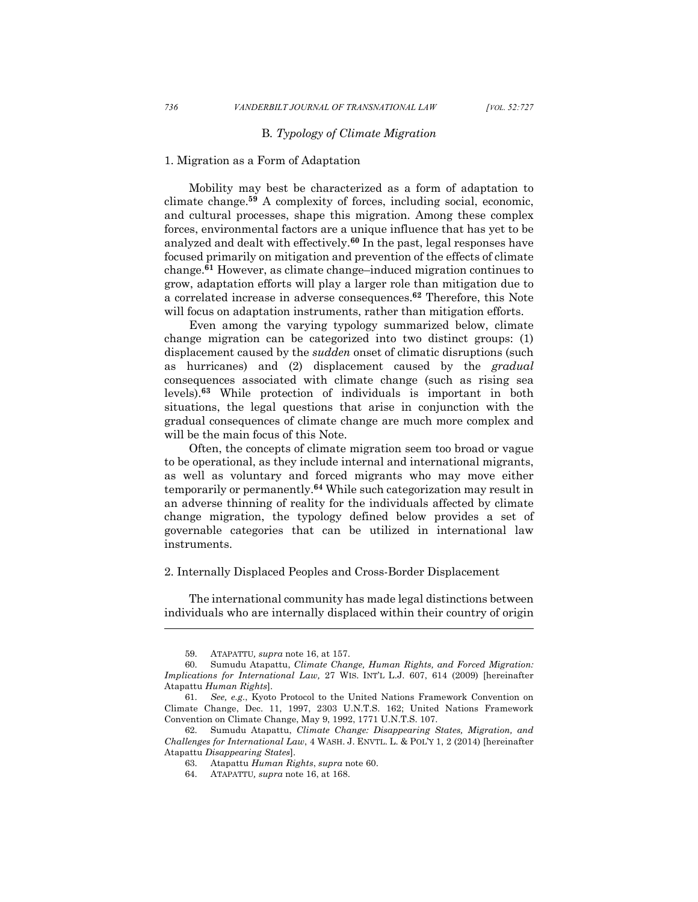# B*. Typology of Climate Migration*

## 1. Migration as a Form of Adaptation

Mobility may best be characterized as a form of adaptation to climate change.**<sup>59</sup>** A complexity of forces, including social, economic, and cultural processes, shape this migration. Among these complex forces, environmental factors are a unique influence that has yet to be analyzed and dealt with effectively.**<sup>60</sup>** In the past, legal responses have focused primarily on mitigation and prevention of the effects of climate change. **<sup>61</sup>** However, as climate change–induced migration continues to grow, adaptation efforts will play a larger role than mitigation due to a correlated increase in adverse consequences.**<sup>62</sup>** Therefore, this Note will focus on adaptation instruments, rather than mitigation efforts.

Even among the varying typology summarized below, climate change migration can be categorized into two distinct groups: (1) displacement caused by the *sudden* onset of climatic disruptions (such as hurricanes) and (2) displacement caused by the *gradual* consequences associated with climate change (such as rising sea levels). **<sup>63</sup>** While protection of individuals is important in both situations, the legal questions that arise in conjunction with the gradual consequences of climate change are much more complex and will be the main focus of this Note.

Often, the concepts of climate migration seem too broad or vague to be operational, as they include internal and international migrants, as well as voluntary and forced migrants who may move either temporarily or permanently.**<sup>64</sup>** While such categorization may result in an adverse thinning of reality for the individuals affected by climate change migration, the typology defined below provides a set of governable categories that can be utilized in international law instruments.

#### 2. Internally Displaced Peoples and Cross-Border Displacement

The international community has made legal distinctions between individuals who are internally displaced within their country of origin

<sup>59.</sup> ATAPATTU*, supra* note 16, at 157.

<sup>60.</sup> Sumudu Atapattu, *Climate Change, Human Rights, and Forced Migration: Implications for International Law,* 27 WIS. INT'L L.J. 607, 614 (2009) [hereinafter Atapattu *Human Rights*].

<sup>61.</sup> *See, e.g.*, Kyoto Protocol to the United Nations Framework Convention on Climate Change, Dec. 11, 1997, 2303 U.N.T.S. 162; United Nations Framework Convention on Climate Change, May 9, 1992, 1771 U.N.T.S. 107.

<sup>62.</sup> Sumudu Atapattu, *Climate Change: Disappearing States, Migration, and Challenges for International Law*, 4 WASH. J. ENVTL. L. & POL'Y 1, 2 (2014) [hereinafter Atapattu *Disappearing States*].

<sup>63.</sup> Atapattu *Human Rights*, *supra* note 60.

<sup>64.</sup> ATAPATTU*, supra* note 16, at 168.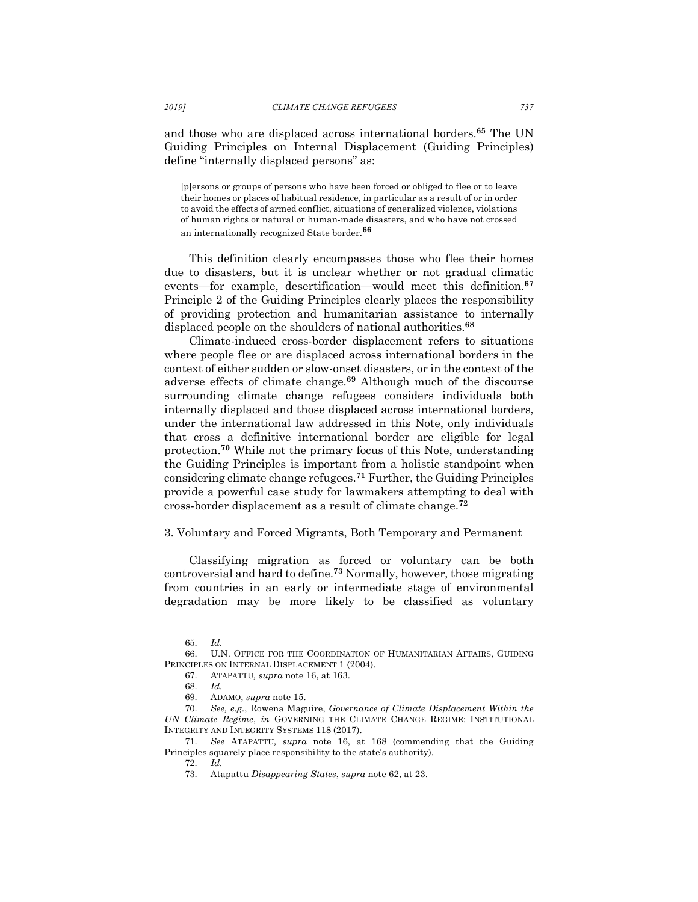and those who are displaced across international borders.**<sup>65</sup>** The UN Guiding Principles on Internal Displacement (Guiding Principles) define "internally displaced persons" as:

[p]ersons or groups of persons who have been forced or obliged to flee or to leave their homes or places of habitual residence, in particular as a result of or in order to avoid the effects of armed conflict, situations of generalized violence, violations of human rights or natural or human-made disasters, and who have not crossed an internationally recognized State border.**<sup>66</sup>**

This definition clearly encompasses those who flee their homes due to disasters, but it is unclear whether or not gradual climatic events—for example, desertification—would meet this definition. **67** Principle 2 of the Guiding Principles clearly places the responsibility of providing protection and humanitarian assistance to internally displaced people on the shoulders of national authorities.**<sup>68</sup>**

Climate-induced cross-border displacement refers to situations where people flee or are displaced across international borders in the context of either sudden or slow-onset disasters, or in the context of the adverse effects of climate change.**<sup>69</sup>** Although much of the discourse surrounding climate change refugees considers individuals both internally displaced and those displaced across international borders, under the international law addressed in this Note, only individuals that cross a definitive international border are eligible for legal protection. **<sup>70</sup>** While not the primary focus of this Note, understanding the Guiding Principles is important from a holistic standpoint when considering climate change refugees. **<sup>71</sup>** Further, the Guiding Principles provide a powerful case study for lawmakers attempting to deal with cross-border displacement as a result of climate change.**<sup>72</sup>**

## 3. Voluntary and Forced Migrants, Both Temporary and Permanent

Classifying migration as forced or voluntary can be both controversial and hard to define.**<sup>73</sup>** Normally, however, those migrating from countries in an early or intermediate stage of environmental degradation may be more likely to be classified as voluntary

<sup>65.</sup> *Id.*

<sup>66.</sup> U.N. OFFICE FOR THE COORDINATION OF HUMANITARIAN AFFAIRS, GUIDING PRINCIPLES ON INTERNAL DISPLACEMENT 1 (2004).

<sup>67.</sup> ATAPATTU*, supra* note 16, at 163.

<sup>68.</sup> *Id.*

<sup>69.</sup> ADAMO, *supra* note 15.

<sup>70.</sup> *See, e.g.*, Rowena Maguire, *Governance of Climate Displacement Within the UN Climate Regime*, *in* GOVERNING THE CLIMATE CHANGE REGIME: INSTITUTIONAL INTEGRITY AND INTEGRITY SYSTEMS 118 (2017).

<sup>71.</sup> *See* ATAPATTU*, supra* note 16, at 168 (commending that the Guiding Principles squarely place responsibility to the state's authority).

<sup>72.</sup> *Id.*

<sup>73.</sup> Atapattu *Disappearing States*, *supra* note 62, at 23.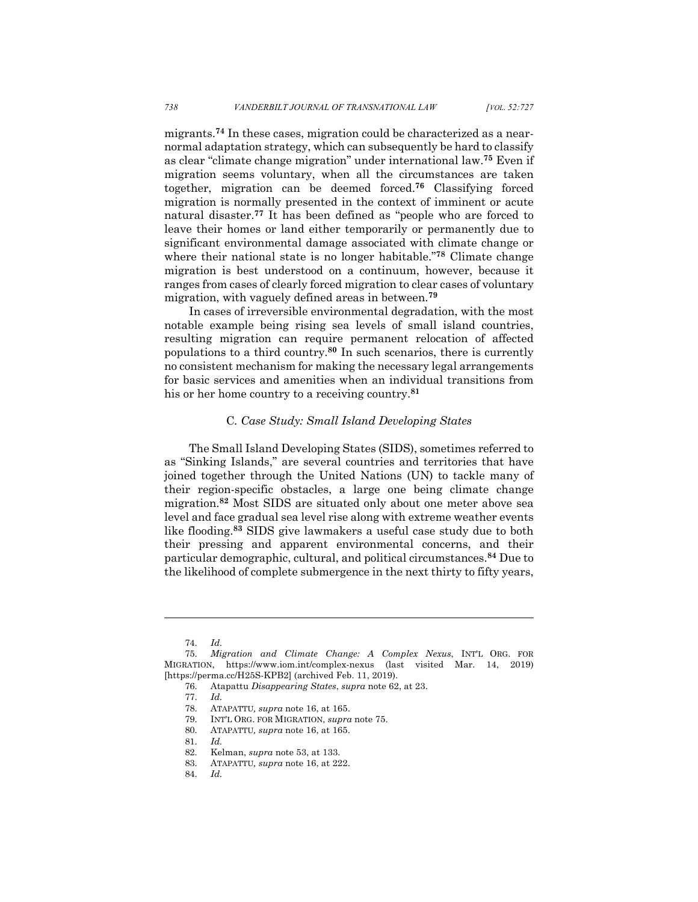migrants.**<sup>74</sup>** In these cases, migration could be characterized as a nearnormal adaptation strategy, which can subsequently be hard to classify as clear "climate change migration" under international law. **<sup>75</sup>** Even if migration seems voluntary, when all the circumstances are taken together, migration can be deemed forced.**<sup>76</sup>** Classifying forced migration is normally presented in the context of imminent or acute natural disaster.**<sup>77</sup>** It has been defined as "people who are forced to leave their homes or land either temporarily or permanently due to significant environmental damage associated with climate change or where their national state is no longer habitable."**<sup>78</sup>** Climate change migration is best understood on a continuum, however, because it ranges from cases of clearly forced migration to clear cases of voluntary migration, with vaguely defined areas in between.**<sup>79</sup>**

In cases of irreversible environmental degradation, with the most notable example being rising sea levels of small island countries, resulting migration can require permanent relocation of affected populations to a third country.**<sup>80</sup>** In such scenarios, there is currently no consistent mechanism for making the necessary legal arrangements for basic services and amenities when an individual transitions from his or her home country to a receiving country.**<sup>81</sup>**

# C*. Case Study: Small Island Developing States*

The Small Island Developing States (SIDS), sometimes referred to as "Sinking Islands," are several countries and territories that have joined together through the United Nations (UN) to tackle many of their region-specific obstacles, a large one being climate change migration.**<sup>82</sup>** Most SIDS are situated only about one meter above sea level and face gradual sea level rise along with extreme weather events like flooding.**<sup>83</sup>** SIDS give lawmakers a useful case study due to both their pressing and apparent environmental concerns, and their particular demographic, cultural, and political circumstances.**<sup>84</sup>** Due to the likelihood of complete submergence in the next thirty to fifty years,

<sup>74.</sup> *Id.*

<sup>75.</sup> *Migration and Climate Change: A Complex Nexus*, INT'L ORG. FOR MIGRATION, https://www.iom.int/complex-nexus (last visited Mar. 14, 2019) [https://perma.cc/H25S-KPB2] (archived Feb. 11, 2019).

<sup>76.</sup> Atapattu *Disappearing States*, *supra* note 62, at 23.

<sup>77.</sup> *Id.*

<sup>78.</sup> ATAPATTU*, supra* note 16, at 165.

<sup>79.</sup> INT'L ORG. FOR MIGRATION, *supra* note 75.

<sup>80.</sup> ATAPATTU*, supra* note 16, at 165.

<sup>81.</sup> *Id.*

<sup>82.</sup> Kelman, *supra* note 53, at 133.

<sup>83.</sup> ATAPATTU*, supra* note 16, at 222.

<sup>84.</sup> *Id.*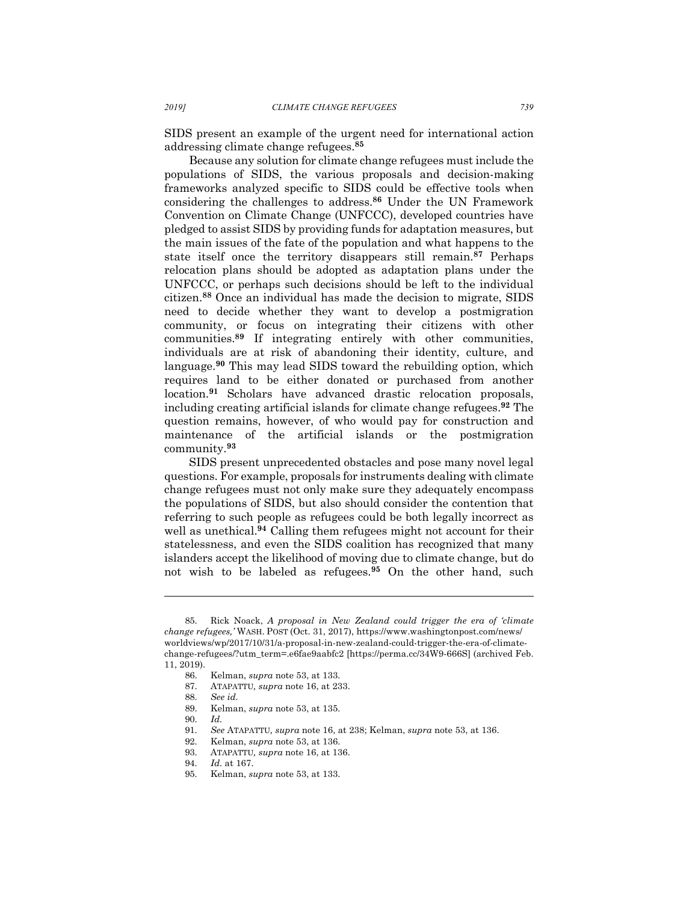SIDS present an example of the urgent need for international action addressing climate change refugees.**<sup>85</sup>**

Because any solution for climate change refugees must include the populations of SIDS, the various proposals and decision-making frameworks analyzed specific to SIDS could be effective tools when considering the challenges to address.**<sup>86</sup>** Under the UN Framework Convention on Climate Change (UNFCCC), developed countries have pledged to assist SIDS by providing funds for adaptation measures, but the main issues of the fate of the population and what happens to the state itself once the territory disappears still remain. **<sup>87</sup>** Perhaps relocation plans should be adopted as adaptation plans under the UNFCCC, or perhaps such decisions should be left to the individual citizen. **<sup>88</sup>** Once an individual has made the decision to migrate, SIDS need to decide whether they want to develop a postmigration community, or focus on integrating their citizens with other communities.**<sup>89</sup>** If integrating entirely with other communities, individuals are at risk of abandoning their identity, culture, and language.**<sup>90</sup>** This may lead SIDS toward the rebuilding option, which requires land to be either donated or purchased from another location.**<sup>91</sup>** Scholars have advanced drastic relocation proposals, including creating artificial islands for climate change refugees.**<sup>92</sup>** The question remains, however, of who would pay for construction and maintenance of the artificial islands or the postmigration community.**<sup>93</sup>**

SIDS present unprecedented obstacles and pose many novel legal questions. For example, proposals for instruments dealing with climate change refugees must not only make sure they adequately encompass the populations of SIDS, but also should consider the contention that referring to such people as refugees could be both legally incorrect as well as unethical.**<sup>94</sup>** Calling them refugees might not account for their statelessness, and even the SIDS coalition has recognized that many islanders accept the likelihood of moving due to climate change, but do not wish to be labeled as refugees.**<sup>95</sup>** On the other hand, such

l

93. ATAPATTU*, supra* note 16, at 136.

<sup>85.</sup> Rick Noack, *A proposal in New Zealand could trigger the era of 'climate change refugees,'* WASH. POST (Oct. 31, 2017), https://www.washingtonpost.com/news/ worldviews/wp/2017/10/31/a-proposal-in-new-zealand-could-trigger-the-era-of-climatechange-refugees/?utm\_term=.e6fae9aabfc2 [https://perma.cc/34W9-666S] (archived Feb. 11, 2019).

<sup>86.</sup> Kelman, *supra* note 53, at 133.

<sup>87.</sup> ATAPATTU*, supra* note 16, at 233.

<sup>88.</sup> *See id.*

<sup>89.</sup> Kelman, *supra* note 53, at 135.

<sup>90.</sup> *Id.*

<sup>91.</sup> *See* ATAPATTU*, supra* note 16, at 238; Kelman, *supra* note 53, at 136.

<sup>92.</sup> Kelman, *supra* note 53, at 136.

<sup>94.</sup> *Id.* at 167.

<sup>95.</sup> Kelman, *supra* note 53, at 133.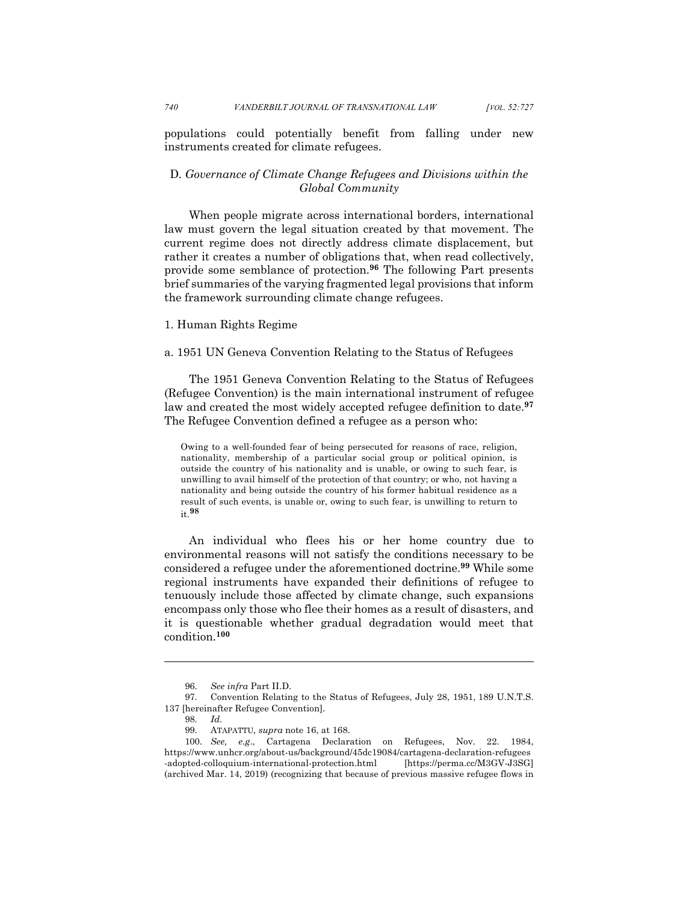populations could potentially benefit from falling under new instruments created for climate refugees.

# D*. Governance of Climate Change Refugees and Divisions within the Global Community*

When people migrate across international borders, international law must govern the legal situation created by that movement. The current regime does not directly address climate displacement, but rather it creates a number of obligations that, when read collectively, provide some semblance of protection.**<sup>96</sup>** The following Part presents brief summaries of the varying fragmented legal provisions that inform the framework surrounding climate change refugees.

# 1. Human Rights Regime

## a. 1951 UN Geneva Convention Relating to the Status of Refugees

The 1951 Geneva Convention Relating to the Status of Refugees (Refugee Convention) is the main international instrument of refugee law and created the most widely accepted refugee definition to date.**<sup>97</sup>** The Refugee Convention defined a refugee as a person who:

Owing to a well-founded fear of being persecuted for reasons of race, religion, nationality, membership of a particular social group or political opinion, is outside the country of his nationality and is unable, or owing to such fear, is unwilling to avail himself of the protection of that country; or who, not having a nationality and being outside the country of his former habitual residence as a result of such events, is unable or, owing to such fear, is unwilling to return to it.**<sup>98</sup>**

An individual who flees his or her home country due to environmental reasons will not satisfy the conditions necessary to be considered a refugee under the aforementioned doctrine.**<sup>99</sup>** While some regional instruments have expanded their definitions of refugee to tenuously include those affected by climate change, such expansions encompass only those who flee their homes as a result of disasters, and it is questionable whether gradual degradation would meet that condition. **100**

<sup>96.</sup> *See infra* Part II.D.

<sup>97.</sup> Convention Relating to the Status of Refugees, July 28, 1951, 189 U.N.T.S. 137 [hereinafter Refugee Convention].

<sup>98.</sup> *Id.*

<sup>99.</sup> ATAPATTU*, supra* note 16, at 168.

<sup>100.</sup> *See, e.g*., Cartagena Declaration on Refugees, Nov. 22. 1984, https://www.unhcr.org/about-us/background/45dc19084/cartagena-declaration-refugees -adopted-colloquium-international-protection.html [https://perma.cc/M3GV-J3SG] (archived Mar. 14, 2019) (recognizing that because of previous massive refugee flows in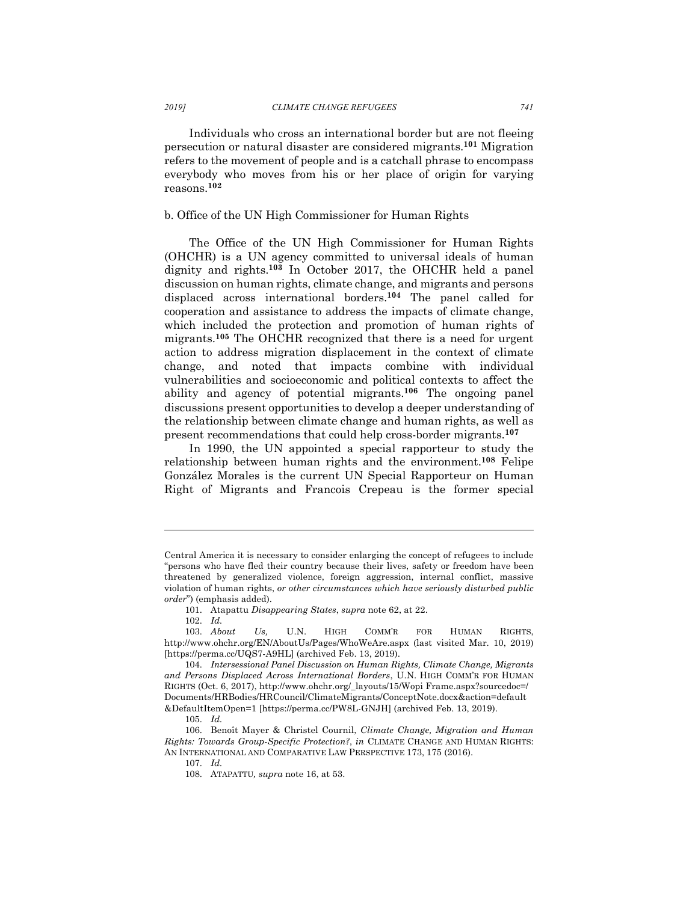Individuals who cross an international border but are not fleeing persecution or natural disaster are considered migrants.**<sup>101</sup>** Migration refers to the movement of people and is a catchall phrase to encompass everybody who moves from his or her place of origin for varying reasons.**<sup>102</sup>**

## b. Office of the UN High Commissioner for Human Rights

The Office of the UN High Commissioner for Human Rights (OHCHR) is a UN agency committed to universal ideals of human dignity and rights.**<sup>103</sup>** In October 2017, the OHCHR held a panel discussion on human rights, climate change, and migrants and persons displaced across international borders.**<sup>104</sup>** The panel called for cooperation and assistance to address the impacts of climate change, which included the protection and promotion of human rights of migrants.**<sup>105</sup>** The OHCHR recognized that there is a need for urgent action to address migration displacement in the context of climate change, and noted that impacts combine with individual vulnerabilities and socioeconomic and political contexts to affect the ability and agency of potential migrants.**<sup>106</sup>** The ongoing panel discussions present opportunities to develop a deeper understanding of the relationship between climate change and human rights, as well as present recommendations that could help cross-border migrants. **107**

In 1990, the UN appointed a special rapporteur to study the relationship between human rights and the environment.**<sup>108</sup>** Felipe González Morales is the current UN Special Rapporteur on Human Right of Migrants and Francois Crepeau is the former special

Central America it is necessary to consider enlarging the concept of refugees to include "persons who have fled their country because their lives, safety or freedom have been threatened by generalized violence, foreign aggression, internal conflict, massive violation of human rights, *or other circumstances which have seriously disturbed public order*") (emphasis added).

<sup>101.</sup> Atapattu *Disappearing States*, *supra* note 62, at 22.

<sup>102.</sup> *Id.*

<sup>103.</sup> *About Us,* U.N. HIGH COMM'R FOR HUMAN RIGHTS, http://www.ohchr.org/EN/AboutUs/Pages/WhoWeAre.aspx (last visited Mar. 10, 2019) [https://perma.cc/UQS7-A9HL] (archived Feb. 13, 2019).

<sup>104.</sup> *Intersessional Panel Discussion on Human Rights, Climate Change, Migrants and Persons Displaced Across International Borders*, U.N. HIGH COMM'R FOR HUMAN RIGHTS (Oct. 6, 2017), http://www.ohchr.org/\_layouts/15/Wopi Frame.aspx?sourcedoc=/ Documents/HRBodies/HRCouncil/ClimateMigrants/ConceptNote.docx&action=default &DefaultItemOpen=1 [https://perma.cc/PW8L-GNJH] (archived Feb. 13, 2019).

<sup>105.</sup> *Id.*

<sup>106.</sup> Benoît Mayer & Christel Cournil, *Climate Change, Migration and Human Rights: Towards Group-Specific Protection?*, *in* CLIMATE CHANGE AND HUMAN RIGHTS: AN INTERNATIONAL AND COMPARATIVE LAW PERSPECTIVE 173, 175 (2016).

<sup>107.</sup> *Id.*

<sup>108.</sup> ATAPATTU*, supra* note 16, at 53.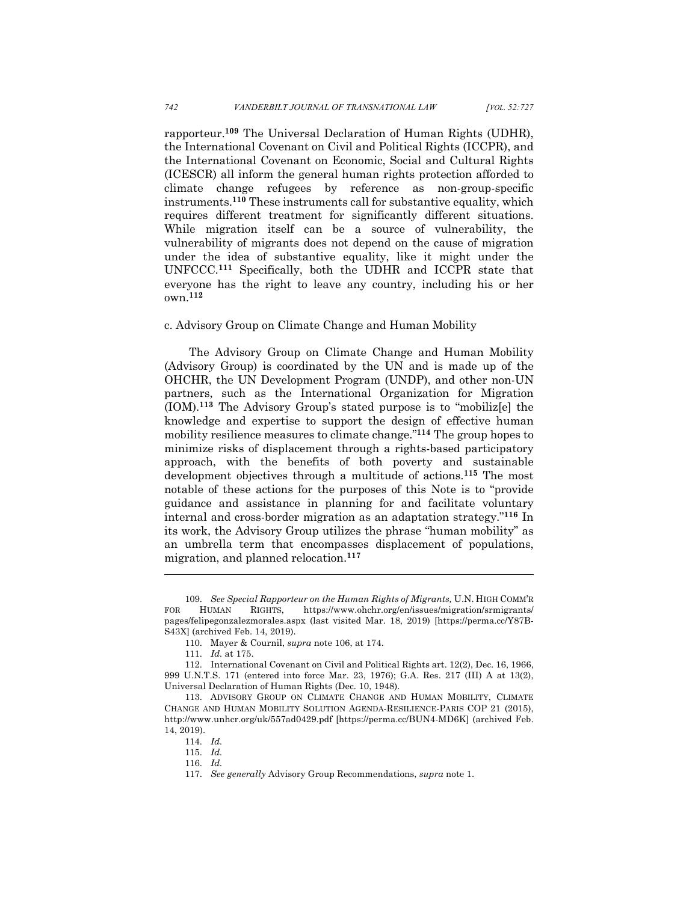rapporteur. **<sup>109</sup>** The Universal Declaration of Human Rights (UDHR), the International Covenant on Civil and Political Rights (ICCPR), and the International Covenant on Economic, Social and Cultural Rights (ICESCR) all inform the general human rights protection afforded to climate change refugees by reference as non-group-specific instruments.**<sup>110</sup>** These instruments call for substantive equality, which requires different treatment for significantly different situations. While migration itself can be a source of vulnerability, the vulnerability of migrants does not depend on the cause of migration under the idea of substantive equality, like it might under the UNFCCC.**<sup>111</sup>** Specifically, both the UDHR and ICCPR state that everyone has the right to leave any country, including his or her own.**<sup>112</sup>**

## c. Advisory Group on Climate Change and Human Mobility

The Advisory Group on Climate Change and Human Mobility (Advisory Group) is coordinated by the UN and is made up of the OHCHR, the UN Development Program (UNDP), and other non-UN partners, such as the International Organization for Migration (IOM).**<sup>113</sup>** The Advisory Group's stated purpose is to "mobiliz[e] the knowledge and expertise to support the design of effective human mobility resilience measures to climate change."**<sup>114</sup>** The group hopes to minimize risks of displacement through a rights-based participatory approach, with the benefits of both poverty and sustainable development objectives through a multitude of actions.**<sup>115</sup>** The most notable of these actions for the purposes of this Note is to "provide guidance and assistance in planning for and facilitate voluntary internal and cross-border migration as an adaptation strategy."**<sup>116</sup>** In its work, the Advisory Group utilizes the phrase "human mobility" as an umbrella term that encompasses displacement of populations, migration, and planned relocation.**<sup>117</sup>**

<sup>109.</sup> *See Special Rapporteur on the Human Rights of Migrants,* U.N. HIGH COMM'R FOR HUMAN RIGHTS, https://www.ohchr.org/en/issues/migration/srmigrants/ pages/felipegonzalezmorales.aspx (last visited Mar. 18, 2019) [https://perma.cc/Y87B-S43X] (archived Feb. 14, 2019).

<sup>110.</sup> Mayer & Cournil, *supra* note 106, at 174.

<sup>111.</sup> *Id.* at 175.

<sup>112.</sup> International Covenant on Civil and Political Rights art. 12(2), Dec. 16, 1966, 999 U.N.T.S. 171 (entered into force Mar. 23, 1976); G.A. Res. 217 (III) A at 13(2), Universal Declaration of Human Rights (Dec. 10, 1948).

<sup>113.</sup> ADVISORY GROUP ON CLIMATE CHANGE AND HUMAN MOBILITY, CLIMATE CHANGE AND HUMAN MOBILITY SOLUTION AGENDA-RESILIENCE-PARIS COP 21 (2015), http://www.unhcr.org/uk/557ad0429.pdf [https://perma.cc/BUN4-MD6K] (archived Feb. 14, 2019).

<sup>114.</sup> *Id.*

<sup>115.</sup> *Id.*

<sup>116.</sup> *Id.*

<sup>117.</sup> *See generally* Advisory Group Recommendations, *supra* note 1.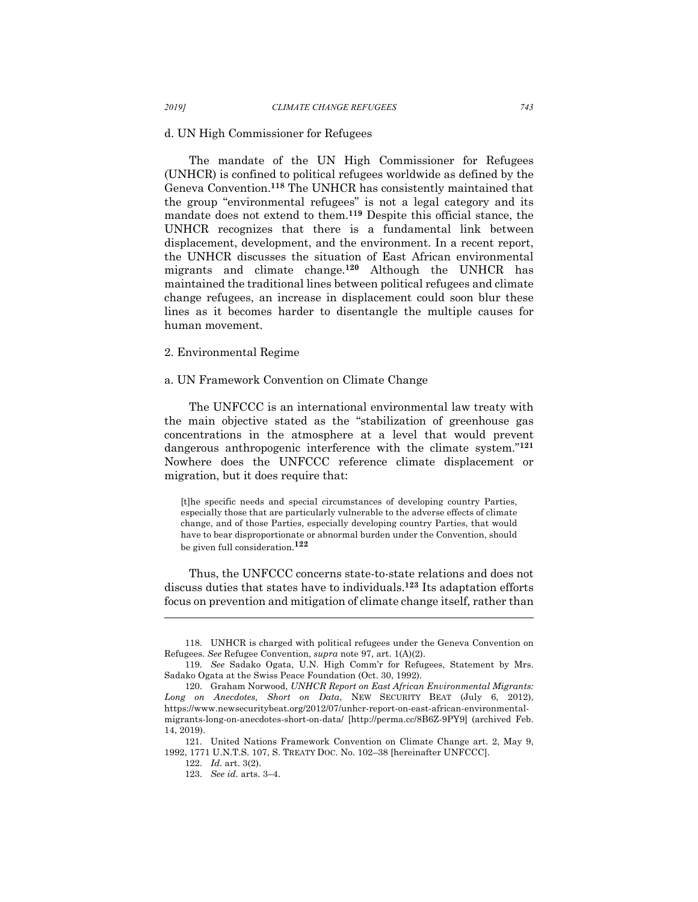#### d. UN High Commissioner for Refugees

The mandate of the UN High Commissioner for Refugees (UNHCR) is confined to political refugees worldwide as defined by the Geneva Convention.**<sup>118</sup>** The UNHCR has consistently maintained that the group "environmental refugees" is not a legal category and its mandate does not extend to them.**<sup>119</sup>** Despite this official stance, the UNHCR recognizes that there is a fundamental link between displacement, development, and the environment. In a recent report, the UNHCR discusses the situation of East African environmental migrants and climate change.**<sup>120</sup>** Although the UNHCR has maintained the traditional lines between political refugees and climate change refugees, an increase in displacement could soon blur these lines as it becomes harder to disentangle the multiple causes for human movement.

### 2. Environmental Regime

#### a. UN Framework Convention on Climate Change

The UNFCCC is an international environmental law treaty with the main objective stated as the "stabilization of greenhouse gas concentrations in the atmosphere at a level that would prevent dangerous anthropogenic interference with the climate system."**<sup>121</sup>** Nowhere does the UNFCCC reference climate displacement or migration, but it does require that:

[t]he specific needs and special circumstances of developing country Parties, especially those that are particularly vulnerable to the adverse effects of climate change, and of those Parties, especially developing country Parties, that would have to bear disproportionate or abnormal burden under the Convention, should be given full consideration.**<sup>122</sup>**

Thus, the UNFCCC concerns state-to-state relations and does not discuss duties that states have to individuals.**<sup>123</sup>** Its adaptation efforts focus on prevention and mitigation of climate change itself, rather than

<sup>118.</sup> UNHCR is charged with political refugees under the Geneva Convention on Refugees. *See* Refugee Convention, *supra* note 97, art. 1(A)(2).

<sup>119.</sup> *See* Sadako Ogata, U.N. High Comm'r for Refugees, Statement by Mrs. Sadako Ogata at the Swiss Peace Foundation (Oct. 30, 1992).

<sup>120.</sup> Graham Norwood, *UNHCR Report on East African Environmental Migrants: Long on Anecdotes, Short on Data*, NEW SECURITY BEAT (July 6, 2012), https://www.newsecuritybeat.org/2012/07/unhcr-report-on-east-african-environmentalmigrants-long-on-anecdotes-short-on-data/ [http://perma.cc/8B6Z-9PY9] (archived Feb. 14, 2019).

<sup>121.</sup> United Nations Framework Convention on Climate Change art. 2, May 9, 1992, 1771 U.N.T.S. 107, S. TREATY DOC. No. 102–38 [hereinafter UNFCCC].

<sup>122.</sup> *Id.* art. 3(2).

<sup>123.</sup> *See id.* arts. 3–4.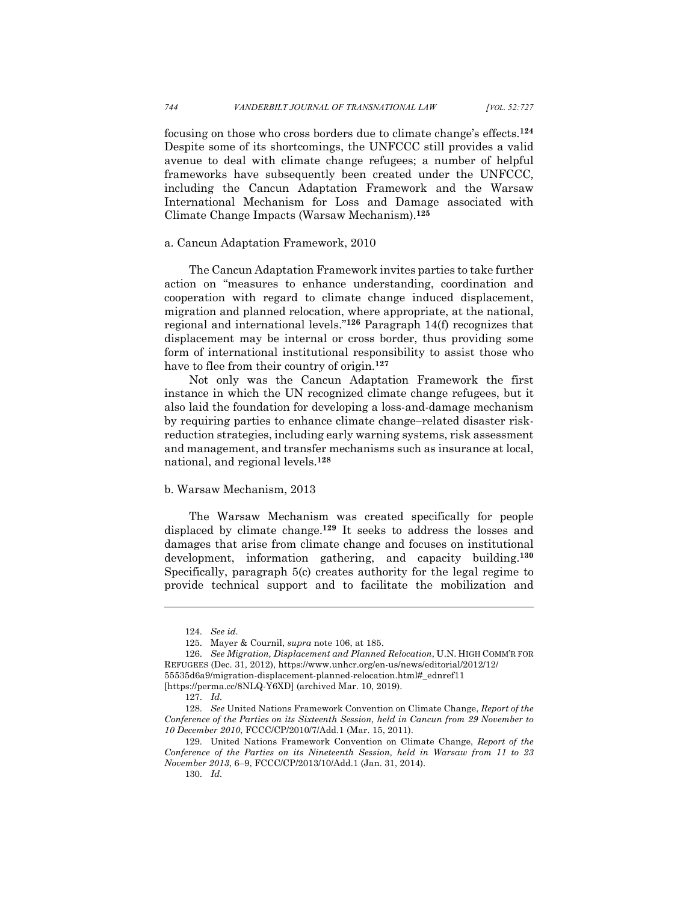focusing on those who cross borders due to climate change's effects.**<sup>124</sup>** Despite some of its shortcomings, the UNFCCC still provides a valid avenue to deal with climate change refugees; a number of helpful frameworks have subsequently been created under the UNFCCC, including the Cancun Adaptation Framework and the Warsaw International Mechanism for Loss and Damage associated with Climate Change Impacts (Warsaw Mechanism). **125**

## a. Cancun Adaptation Framework, 2010

The Cancun Adaptation Framework invites parties to take further action on "measures to enhance understanding, coordination and cooperation with regard to climate change induced displacement, migration and planned relocation, where appropriate, at the national, regional and international levels."**<sup>126</sup>** Paragraph 14(f) recognizes that displacement may be internal or cross border, thus providing some form of international institutional responsibility to assist those who have to flee from their country of origin.**<sup>127</sup>**

Not only was the Cancun Adaptation Framework the first instance in which the UN recognized climate change refugees, but it also laid the foundation for developing a loss-and-damage mechanism by requiring parties to enhance climate change–related disaster riskreduction strategies, including early warning systems, risk assessment and management, and transfer mechanisms such as insurance at local, national, and regional levels.**<sup>128</sup>**

#### b. Warsaw Mechanism, 2013

The Warsaw Mechanism was created specifically for people displaced by climate change.**<sup>129</sup>** It seeks to address the losses and damages that arise from climate change and focuses on institutional development, information gathering, and capacity building.**<sup>130</sup>** Specifically, paragraph 5(c) creates authority for the legal regime to provide technical support and to facilitate the mobilization and

<sup>124.</sup> *See id.*

<sup>125.</sup> Mayer & Cournil, *supra* note 106, at 185.

<sup>126.</sup> *See Migration, Displacement and Planned Relocation*, U.N. HIGH COMM'R FOR REFUGEES (Dec. 31, 2012), https://www.unhcr.org/en-us/news/editorial/2012/12/ 55535d6a9/migration-displacement-planned-relocation.html#\_ednref11

<sup>[</sup>https://perma.cc/8NLQ-Y6XD] (archived Mar. 10, 2019).

<sup>127.</sup> *Id.*

<sup>128.</sup> *See* United Nations Framework Convention on Climate Change, *Report of the Conference of the Parties on its Sixteenth Session, held in Cancun from 29 November to 10 December 2010*, FCCC/CP/2010/7/Add.1 (Mar. 15, 2011).

<sup>129.</sup> United Nations Framework Convention on Climate Change, *Report of the Conference of the Parties on its Nineteenth Session, held in Warsaw from 11 to 23 November 2013*, 6–9, FCCC/CP/2013/10/Add.1 (Jan. 31, 2014).

<sup>130.</sup> *Id.*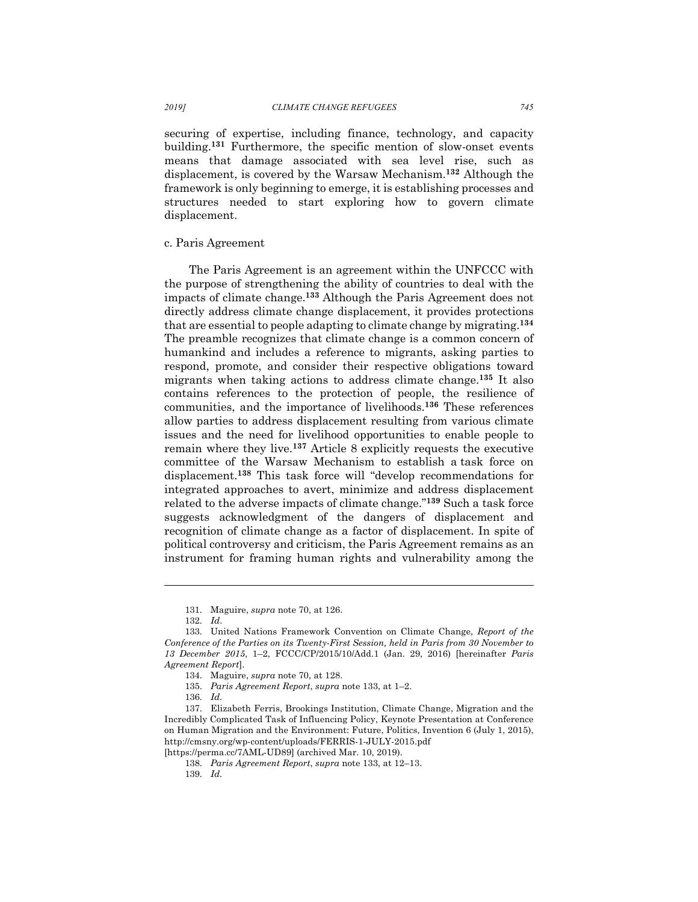securing of expertise, including finance, technology, and capacity building.**<sup>131</sup>** Furthermore, the specific mention of slow-onset events means that damage associated with sea level rise, such as displacement, is covered by the Warsaw Mechanism.**<sup>132</sup>** Although the framework is only beginning to emerge, it is establishing processes and structures needed to start exploring how to govern climate displacement.

#### c. Paris Agreement

The Paris Agreement is an agreement within the UNFCCC with the purpose of strengthening the ability of countries to deal with the impacts of climate change.**<sup>133</sup>** Although the Paris Agreement does not directly address climate change displacement, it provides protections that are essential to people adapting to climate change by migrating.**<sup>134</sup>** The preamble recognizes that climate change is a common concern of humankind and includes a reference to migrants, asking parties to respond, promote, and consider their respective obligations toward migrants when taking actions to address climate change.**<sup>135</sup>** It also contains references to the protection of people, the resilience of communities, and the importance of livelihoods.**<sup>136</sup>** These references allow parties to address displacement resulting from various climate issues and the need for livelihood opportunities to enable people to remain where they live.**<sup>137</sup>** Article 8 explicitly requests the executive committee of the Warsaw Mechanism to establish a task force on displacement. **<sup>138</sup>** This task force will "develop recommendations for integrated approaches to avert, minimize and address displacement related to the adverse impacts of climate change."**<sup>139</sup>** Such a task force suggests acknowledgment of the dangers of displacement and recognition of climate change as a factor of displacement. In spite of political controversy and criticism, the Paris Agreement remains as an instrument for framing human rights and vulnerability among the

<sup>131.</sup> Maguire, *supra* note 70, at 126.

<sup>132.</sup> *Id*.

<sup>133.</sup> United Nations Framework Convention on Climate Change, *Report of the Conference of the Parties on its Twenty-First Session, held in Paris from 30 November to 13 December 2015*, 1–2, FCCC/CP/2015/10/Add.1 (Jan. 29, 2016) [hereinafter *Paris Agreement Report*].

<sup>134.</sup> Maguire, *supra* note 70, at 128.

<sup>135.</sup> *Paris Agreement Report*, *supra* note 133, at 1–2.

<sup>136.</sup> *Id.*

<sup>137.</sup> Elizabeth Ferris, Brookings Institution, Climate Change, Migration and the Incredibly Complicated Task of Influencing Policy, Keynote Presentation at Conference on Human Migration and the Environment: Future, Politics, Invention 6 (July 1, 2015), http://cmsny.org/wp-content/uploads/FERRIS-1-JULY-2015.pdf

<sup>[</sup>https://perma.cc/7AML-UD89] (archived Mar. 10, 2019).

<sup>138.</sup> *Paris Agreement Report*, *supra* note 133, at 12–13.

<sup>139.</sup> *Id.*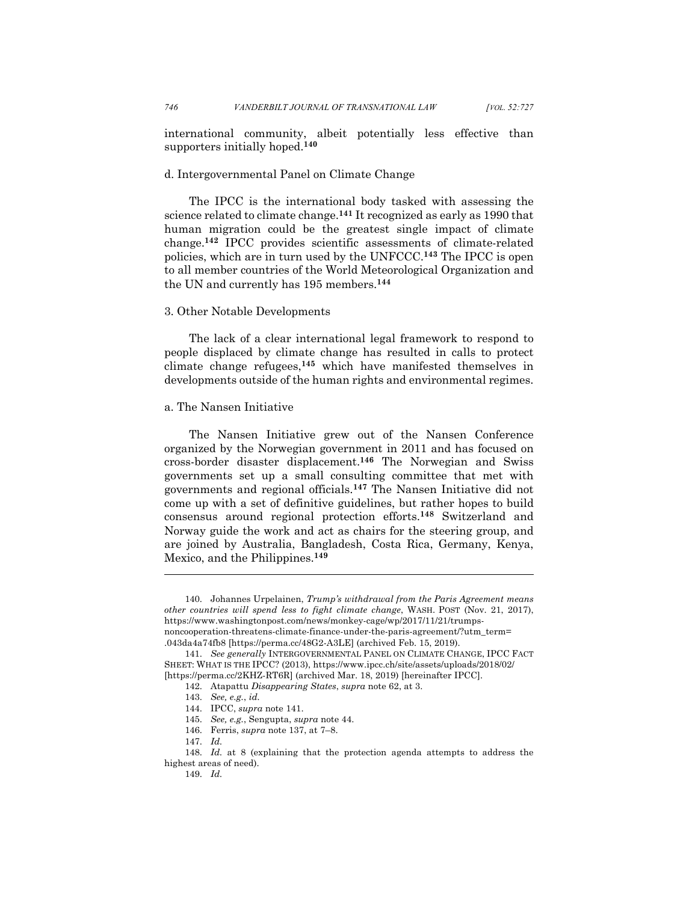international community, albeit potentially less effective than supporters initially hoped.**<sup>140</sup>**

## d. Intergovernmental Panel on Climate Change

The IPCC is the international body tasked with assessing the science related to climate change.**<sup>141</sup>** It recognized as early as 1990 that human migration could be the greatest single impact of climate change.**<sup>142</sup>** IPCC provides scientific assessments of climate-related policies, which are in turn used by the UNFCCC.**<sup>143</sup>** The IPCC is open to all member countries of the World Meteorological Organization and the UN and currently has 195 members.**<sup>144</sup>**

# 3. Other Notable Developments

The lack of a clear international legal framework to respond to people displaced by climate change has resulted in calls to protect climate change refugees,**<sup>145</sup>** which have manifested themselves in developments outside of the human rights and environmental regimes.

## a. The Nansen Initiative

The Nansen Initiative grew out of the Nansen Conference organized by the Norwegian government in 2011 and has focused on cross-border disaster displacement.**<sup>146</sup>** The Norwegian and Swiss governments set up a small consulting committee that met with governments and regional officials.**<sup>147</sup>** The Nansen Initiative did not come up with a set of definitive guidelines, but rather hopes to build consensus around regional protection efforts.**<sup>148</sup>** Switzerland and Norway guide the work and act as chairs for the steering group, and are joined by Australia, Bangladesh, Costa Rica, Germany, Kenya, Mexico, and the Philippines.**<sup>149</sup>**

<sup>140.</sup> Johannes Urpelainen, *Trump's withdrawal from the Paris Agreement means other countries will spend less to fight climate change*, WASH. POST (Nov. 21, 2017), https://www.washingtonpost.com/news/monkey-cage/wp/2017/11/21/trumpsnoncooperation-threatens-climate-finance-under-the-paris-agreement/?utm\_term= .043da4a74fb8 [https://perma.cc/48G2-A3LE] (archived Feb. 15, 2019).

<sup>141.</sup> *See generally* INTERGOVERNMENTAL PANEL ON CLIMATE CHANGE, IPCC FACT SHEET: WHAT IS THE IPCC? (2013), https://www.ipcc.ch/site/assets/uploads/2018/02/ [https://perma.cc/2KHZ-RT6R] (archived Mar. 18, 2019) [hereinafter IPCC].

<sup>142.</sup> Atapattu *Disappearing States*, *supra* note 62, at 3.

<sup>143.</sup> *See, e.g.*, *id.*

<sup>144.</sup> IPCC, *supra* note 141.

<sup>145.</sup> *See, e.g.*, Sengupta, *supra* note 44.

<sup>146.</sup> Ferris, *supra* note 137, at 7–8.

<sup>147.</sup> *Id.*

<sup>148.</sup> *Id.* at 8 (explaining that the protection agenda attempts to address the highest areas of need).

<sup>149.</sup> *Id.*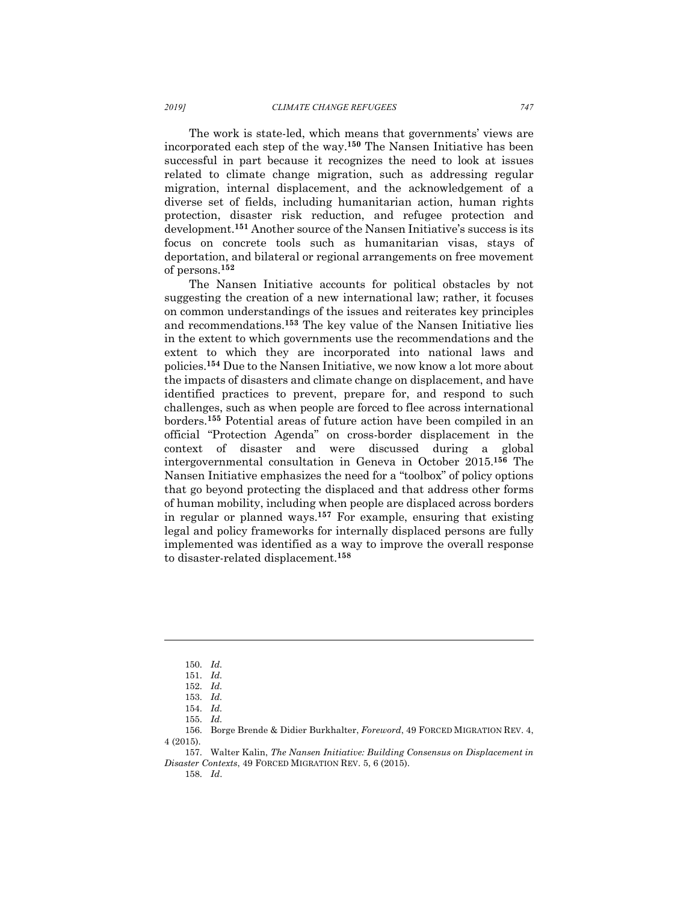The work is state-led, which means that governments' views are incorporated each step of the way.**<sup>150</sup>** The Nansen Initiative has been successful in part because it recognizes the need to look at issues related to climate change migration, such as addressing regular migration, internal displacement, and the acknowledgement of a diverse set of fields, including humanitarian action, human rights protection, disaster risk reduction, and refugee protection and development.**<sup>151</sup>** Another source of the Nansen Initiative's success is its focus on concrete tools such as humanitarian visas, stays of deportation, and bilateral or regional arrangements on free movement of persons.**<sup>152</sup>**

The Nansen Initiative accounts for political obstacles by not suggesting the creation of a new international law; rather, it focuses on common understandings of the issues and reiterates key principles and recommendations.**<sup>153</sup>** The key value of the Nansen Initiative lies in the extent to which governments use the recommendations and the extent to which they are incorporated into national laws and policies.**<sup>154</sup>** Due to the Nansen Initiative, we now know a lot more about the impacts of disasters and climate change on displacement, and have identified practices to prevent, prepare for, and respond to such challenges, such as when people are forced to flee across international borders.**<sup>155</sup>** Potential areas of future action have been compiled in an official "Protection Agenda" on cross-border displacement in the context of disaster and were discussed during a global intergovernmental consultation in Geneva in October 2015.**<sup>156</sup>** The Nansen Initiative emphasizes the need for a "toolbox" of policy options that go beyond protecting the displaced and that address other forms of human mobility, including when people are displaced across borders in regular or planned ways.**<sup>157</sup>** For example, ensuring that existing legal and policy frameworks for internally displaced persons are fully implemented was identified as a way to improve the overall response to disaster-related displacement.**<sup>158</sup>**

l

156. Borge Brende & Didier Burkhalter, *Foreword*, 49 FORCED MIGRATION REV. 4, 4 (2015).

<sup>150.</sup> *Id.*

<sup>151.</sup> *Id.*

<sup>152.</sup> *Id.*

<sup>153.</sup> *Id.*

<sup>154.</sup> *Id.*

<sup>155.</sup> *Id.*

<sup>157.</sup> Walter Kalin, *The Nansen Initiative: Building Consensus on Displacement in Disaster Contexts*, 49 FORCED MIGRATION REV. 5, 6 (2015).

<sup>158.</sup> *Id*.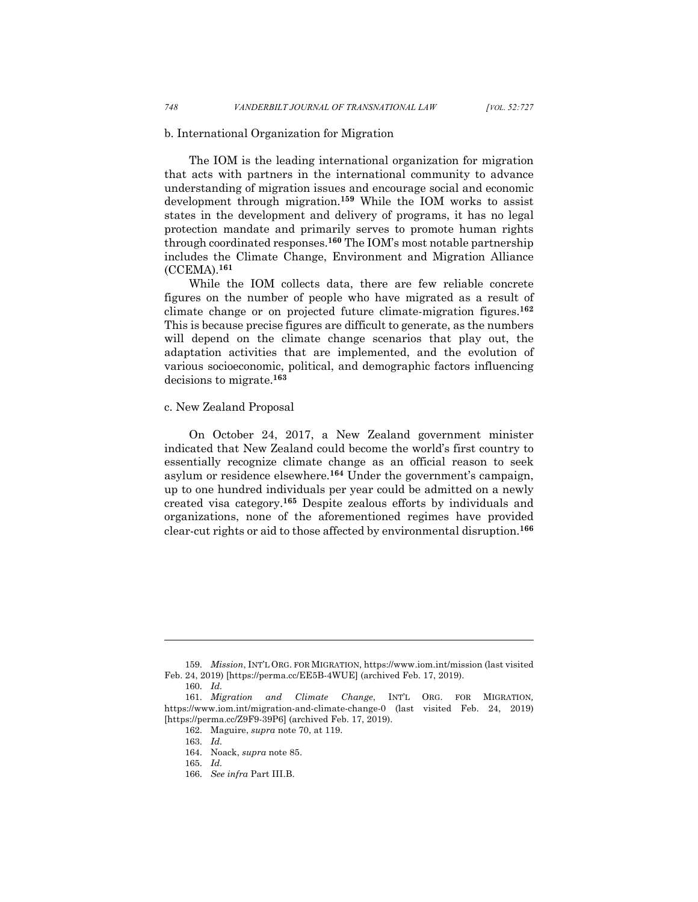#### b. International Organization for Migration

The IOM is the leading international organization for migration that acts with partners in the international community to advance understanding of migration issues and encourage social and economic development through migration.**<sup>159</sup>** While the IOM works to assist states in the development and delivery of programs, it has no legal protection mandate and primarily serves to promote human rights through coordinated responses.**<sup>160</sup>** The IOM's most notable partnership includes the Climate Change, Environment and Migration Alliance (CCEMA).**<sup>161</sup>**

While the IOM collects data, there are few reliable concrete figures on the number of people who have migrated as a result of climate change or on projected future climate-migration figures.**<sup>162</sup>** This is because precise figures are difficult to generate, as the numbers will depend on the climate change scenarios that play out, the adaptation activities that are implemented, and the evolution of various socioeconomic, political, and demographic factors influencing decisions to migrate.**<sup>163</sup>**

# c. New Zealand Proposal

On October 24, 2017, a New Zealand government minister indicated that New Zealand could become the world's first country to essentially recognize climate change as an official reason to seek asylum or residence elsewhere.**<sup>164</sup>** Under the government's campaign, up to one hundred individuals per year could be admitted on a newly created visa category.**<sup>165</sup>** Despite zealous efforts by individuals and organizations, none of the aforementioned regimes have provided clear-cut rights or aid to those affected by environmental disruption.**<sup>166</sup>**

<sup>159.</sup> *Mission*, INT'L ORG. FOR MIGRATION, https://www.iom.int/mission (last visited Feb. 24, 2019) [https://perma.cc/EE5B-4WUE] (archived Feb. 17, 2019).

<sup>160.</sup> *Id.*

<sup>161.</sup> *Migration and Climate Change*, INT'L ORG. FOR MIGRATION*,*  https://www.iom.int/migration-and-climate-change-0 (last visited Feb. 24, 2019) [https://perma.cc/Z9F9-39P6] (archived Feb. 17, 2019).

<sup>162.</sup> Maguire, *supra* note 70, at 119.

<sup>163.</sup> *Id.*

<sup>164.</sup> Noack, *supra* note 85.

<sup>165.</sup> *Id.*

<sup>166.</sup> *See infra* Part III.B.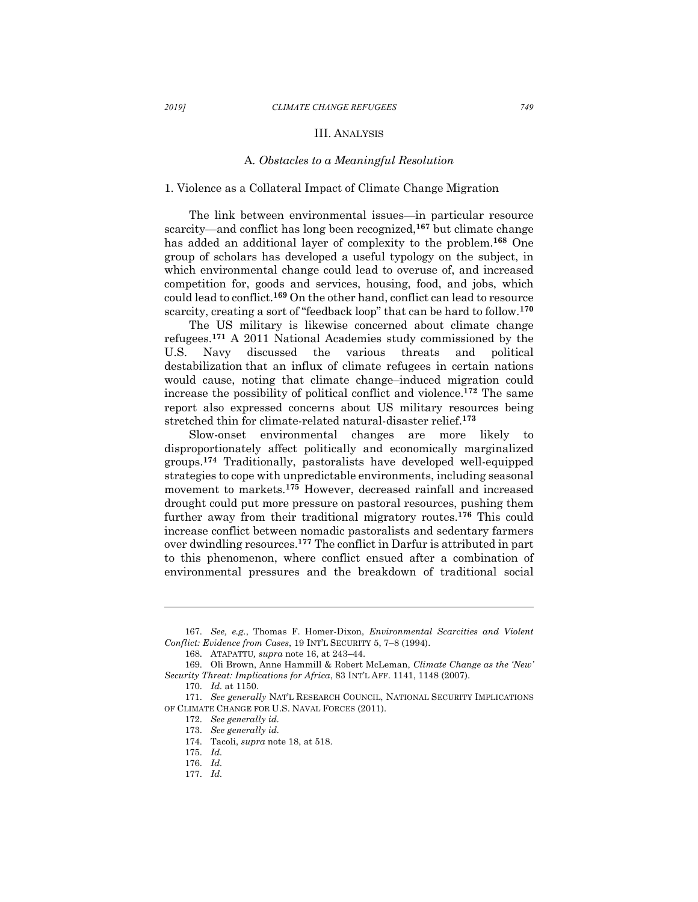### III. ANALYSIS

#### A*. Obstacles to a Meaningful Resolution*

## 1. Violence as a Collateral Impact of Climate Change Migration

The link between environmental issues—in particular resource scarcity—and conflict has long been recognized,**<sup>167</sup>** but climate change has added an additional layer of complexity to the problem.**<sup>168</sup>** One group of scholars has developed a useful typology on the subject, in which environmental change could lead to overuse of, and increased competition for, goods and services, housing, food, and jobs, which could lead to conflict.**<sup>169</sup>** On the other hand, conflict can lead to resource scarcity, creating a sort of "feedback loop" that can be hard to follow.**<sup>170</sup>**

The US military is likewise concerned about climate change refugees.**<sup>171</sup>** A 2011 National Academies study commissioned by the U.S. Navy discussed the various threats and political destabilization that an influx of climate refugees in certain nations would cause, noting that climate change–induced migration could increase the possibility of political conflict and violence.**<sup>172</sup>** The same report also expressed concerns about US military resources being stretched thin for climate-related natural-disaster relief.**<sup>173</sup>**

Slow-onset environmental changes are more likely to disproportionately affect politically and economically marginalized groups.**<sup>174</sup>** Traditionally, pastoralists have developed well-equipped strategies to cope with unpredictable environments, including seasonal movement to markets.**<sup>175</sup>** However, decreased rainfall and increased drought could put more pressure on pastoral resources, pushing them further away from their traditional migratory routes.**<sup>176</sup>** This could increase conflict between nomadic pastoralists and sedentary farmers over dwindling resources.**<sup>177</sup>** The conflict in Darfur is attributed in part to this phenomenon, where conflict ensued after a combination of environmental pressures and the breakdown of traditional social

<sup>167.</sup> *See, e.g.*, Thomas F. Homer-Dixon, *Environmental Scarcities and Violent Conflict: Evidence from Cases*, 19 INT'L SECURITY 5, 7–8 (1994).

<sup>168.</sup> ATAPATTU*, supra* note 16, at 243–44.

<sup>169.</sup> Oli Brown, Anne Hammill & Robert McLeman, *Climate Change as the 'New' Security Threat: Implications for Africa*, 83 INT'L AFF. 1141, 1148 (2007).

<sup>170.</sup> *Id.* at 1150.

<sup>171.</sup> *See generally* NAT'L RESEARCH COUNCIL, NATIONAL SECURITY IMPLICATIONS OF CLIMATE CHANGE FOR U.S. NAVAL FORCES (2011).

<sup>172.</sup> *See generally id.* 

<sup>173.</sup> *See generally id.* 

<sup>174.</sup> Tacoli, *supra* note 18, at 518.

<sup>175.</sup> *Id.*

<sup>176.</sup> *Id.*

<sup>177.</sup> *Id.*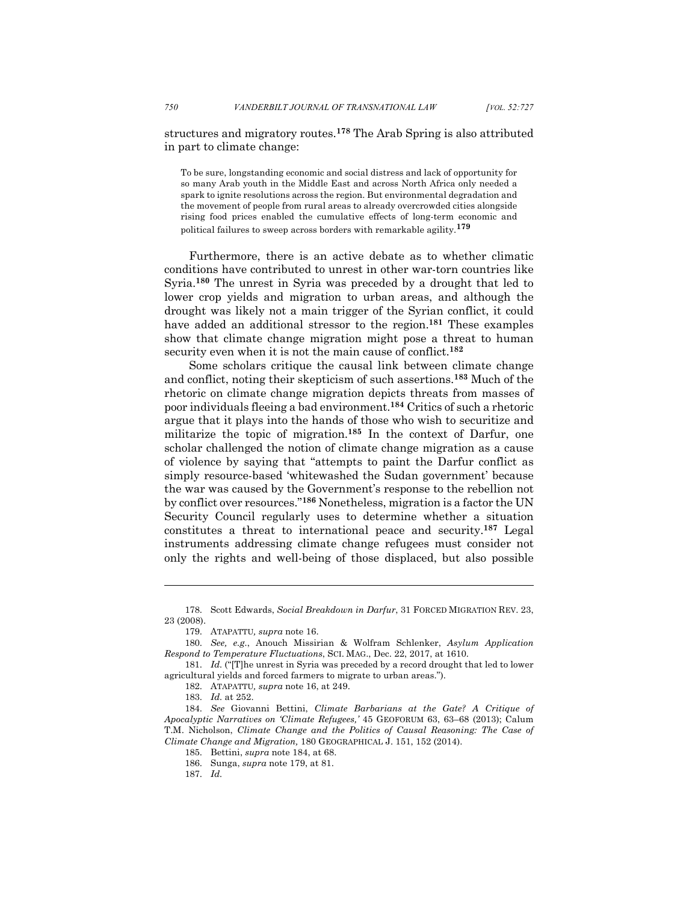structures and migratory routes.**<sup>178</sup>** The Arab Spring is also attributed in part to climate change:

To be sure, longstanding economic and social distress and lack of opportunity for so many Arab youth in the Middle East and across North Africa only needed a spark to ignite resolutions across the region. But environmental degradation and the movement of people from rural areas to already overcrowded cities alongside rising food prices enabled the cumulative effects of long-term economic and political failures to sweep across borders with remarkable agility.**<sup>179</sup>**

Furthermore, there is an active debate as to whether climatic conditions have contributed to unrest in other war-torn countries like Syria.**<sup>180</sup>** The unrest in Syria was preceded by a drought that led to lower crop yields and migration to urban areas, and although the drought was likely not a main trigger of the Syrian conflict, it could have added an additional stressor to the region.**<sup>181</sup>** These examples show that climate change migration might pose a threat to human security even when it is not the main cause of conflict.**<sup>182</sup>**

Some scholars critique the causal link between climate change and conflict, noting their skepticism of such assertions.**<sup>183</sup>** Much of the rhetoric on climate change migration depicts threats from masses of poor individuals fleeing a bad environment.**<sup>184</sup>** Critics of such a rhetoric argue that it plays into the hands of those who wish to securitize and militarize the topic of migration.**<sup>185</sup>** In the context of Darfur, one scholar challenged the notion of climate change migration as a cause of violence by saying that "attempts to paint the Darfur conflict as simply resource-based 'whitewashed the Sudan government' because the war was caused by the Government's response to the rebellion not by conflict over resources."**<sup>186</sup>** Nonetheless, migration is a factor the UN Security Council regularly uses to determine whether a situation constitutes a threat to international peace and security.**<sup>187</sup>** Legal instruments addressing climate change refugees must consider not only the rights and well-being of those displaced, but also possible

<sup>178.</sup> Scott Edwards, *Social Breakdown in Darfur*, 31 FORCED MIGRATION REV. 23, 23 (2008).

<sup>179.</sup> ATAPATTU*, supra* note 16.

<sup>180.</sup> *See, e.g.*, Anouch Missirian & Wolfram Schlenker, *Asylum Application Respond to Temperature Fluctuations*, SCI. MAG., Dec. 22, 2017, at 1610.

<sup>181.</sup> *Id.* ("[T]he unrest in Syria was preceded by a record drought that led to lower agricultural yields and forced farmers to migrate to urban areas.").

<sup>182.</sup> ATAPATTU*, supra* note 16, at 249.

<sup>183.</sup> *Id.* at 252.

<sup>184.</sup> *See* Giovanni Bettini, *Climate Barbarians at the Gate? A Critique of Apocalyptic Narratives on 'Climate Refugees,'* 45 GEOFORUM 63, 63–68 (2013); Calum T.M. Nicholson, *Climate Change and the Politics of Causal Reasoning: The Case of Climate Change and Migration,* 180 GEOGRAPHICAL J. 151, 152 (2014).

<sup>185.</sup> Bettini, *supra* note 184, at 68.

<sup>186.</sup> Sunga, *supra* note 179, at 81.

<sup>187.</sup> *Id.*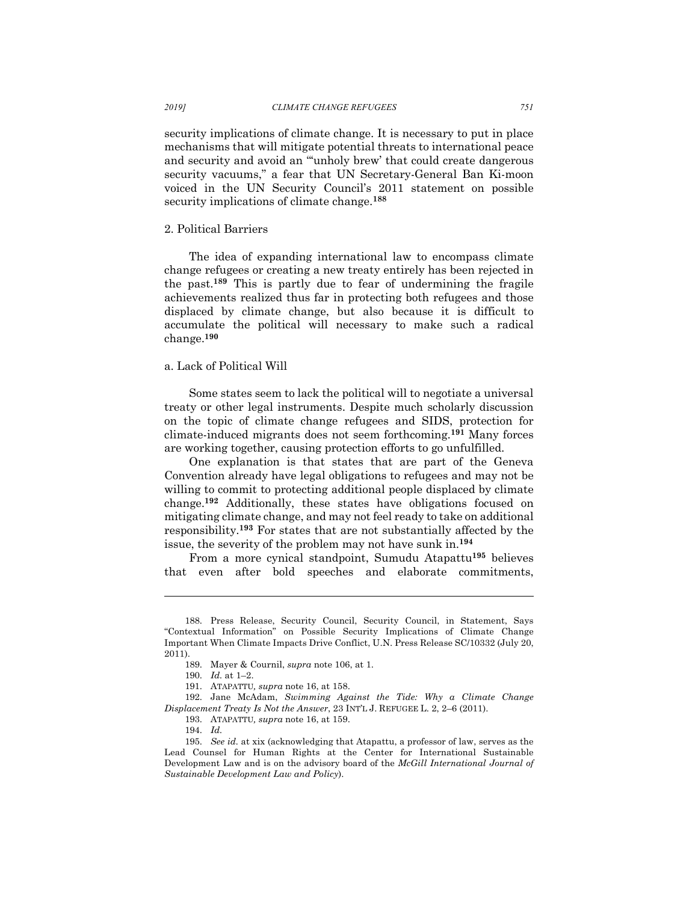security implications of climate change. It is necessary to put in place mechanisms that will mitigate potential threats to international peace and security and avoid an "'unholy brew' that could create dangerous security vacuums," a fear that UN Secretary-General Ban Ki-moon voiced in the UN Security Council's 2011 statement on possible security implications of climate change.**<sup>188</sup>**

## 2. Political Barriers

The idea of expanding international law to encompass climate change refugees or creating a new treaty entirely has been rejected in the past.**<sup>189</sup>** This is partly due to fear of undermining the fragile achievements realized thus far in protecting both refugees and those displaced by climate change, but also because it is difficult to accumulate the political will necessary to make such a radical change.**<sup>190</sup>**

#### a. Lack of Political Will

Some states seem to lack the political will to negotiate a universal treaty or other legal instruments. Despite much scholarly discussion on the topic of climate change refugees and SIDS, protection for climate-induced migrants does not seem forthcoming.**<sup>191</sup>** Many forces are working together, causing protection efforts to go unfulfilled.

One explanation is that states that are part of the Geneva Convention already have legal obligations to refugees and may not be willing to commit to protecting additional people displaced by climate change.**<sup>192</sup>** Additionally, these states have obligations focused on mitigating climate change, and may not feel ready to take on additional responsibility.**<sup>193</sup>** For states that are not substantially affected by the issue, the severity of the problem may not have sunk in.**<sup>194</sup>**

From a more cynical standpoint, Sumudu Atapattu**<sup>195</sup>** believes that even after bold speeches and elaborate commitments,

<sup>188.</sup> Press Release, Security Council, Security Council, in Statement, Says "Contextual Information" on Possible Security Implications of Climate Change Important When Climate Impacts Drive Conflict, U.N. Press Release SC/10332 (July 20, 2011).

<sup>189.</sup> Mayer & Cournil, *supra* note 106, at 1.

<sup>190.</sup> *Id.* at 1–2.

<sup>191.</sup> ATAPATTU*, supra* note 16, at 158.

<sup>192.</sup> Jane McAdam, *Swimming Against the Tide: Why a Climate Change Displacement Treaty Is Not the Answer*, 23 INT'L J. REFUGEE L. 2, 2–6 (2011).

<sup>193.</sup> ATAPATTU*, supra* note 16, at 159.

<sup>194.</sup> *Id.*

<sup>195.</sup> *See id.* at xix (acknowledging that Atapattu, a professor of law, serves as the Lead Counsel for Human Rights at the Center for International Sustainable Development Law and is on the advisory board of the *McGill International Journal of Sustainable Development Law and Policy*).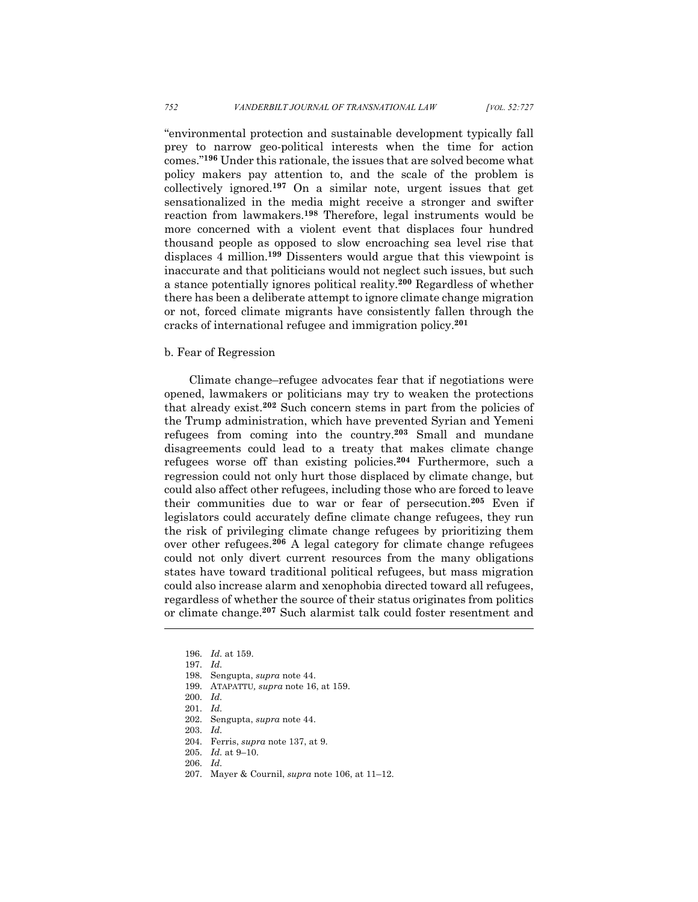"environmental protection and sustainable development typically fall prey to narrow geo-political interests when the time for action comes."**<sup>196</sup>** Under this rationale, the issues that are solved become what policy makers pay attention to, and the scale of the problem is collectively ignored.**<sup>197</sup>** On a similar note, urgent issues that get sensationalized in the media might receive a stronger and swifter reaction from lawmakers.**<sup>198</sup>** Therefore, legal instruments would be more concerned with a violent event that displaces four hundred thousand people as opposed to slow encroaching sea level rise that displaces 4 million.**<sup>199</sup>** Dissenters would argue that this viewpoint is inaccurate and that politicians would not neglect such issues, but such a stance potentially ignores political reality.**<sup>200</sup>** Regardless of whether there has been a deliberate attempt to ignore climate change migration or not, forced climate migrants have consistently fallen through the cracks of international refugee and immigration policy.**<sup>201</sup>**

#### b. Fear of Regression

Climate change–refugee advocates fear that if negotiations were opened, lawmakers or politicians may try to weaken the protections that already exist.**<sup>202</sup>** Such concern stems in part from the policies of the Trump administration, which have prevented Syrian and Yemeni refugees from coming into the country.**<sup>203</sup>** Small and mundane disagreements could lead to a treaty that makes climate change refugees worse off than existing policies.**<sup>204</sup>** Furthermore, such a regression could not only hurt those displaced by climate change, but could also affect other refugees, including those who are forced to leave their communities due to war or fear of persecution.**<sup>205</sup>** Even if legislators could accurately define climate change refugees, they run the risk of privileging climate change refugees by prioritizing them over other refugees.**<sup>206</sup>** A legal category for climate change refugees could not only divert current resources from the many obligations states have toward traditional political refugees, but mass migration could also increase alarm and xenophobia directed toward all refugees, regardless of whether the source of their status originates from politics or climate change.**<sup>207</sup>** Such alarmist talk could foster resentment and

l

203. *Id.*

- 206. *Id.*
- 207. Mayer & Cournil, *supra* note 106, at 11–12.

<sup>196.</sup> *Id.* at 159.

<sup>197.</sup> *Id.*

<sup>198.</sup> Sengupta, *supra* note 44.

<sup>199.</sup> ATAPATTU*, supra* note 16, at 159.

<sup>200.</sup> *Id.*

<sup>201.</sup> *Id.*

<sup>202.</sup> Sengupta, *supra* note 44.

<sup>204.</sup> Ferris, *supra* note 137, at 9.

<sup>205.</sup> *Id.* at 9–10.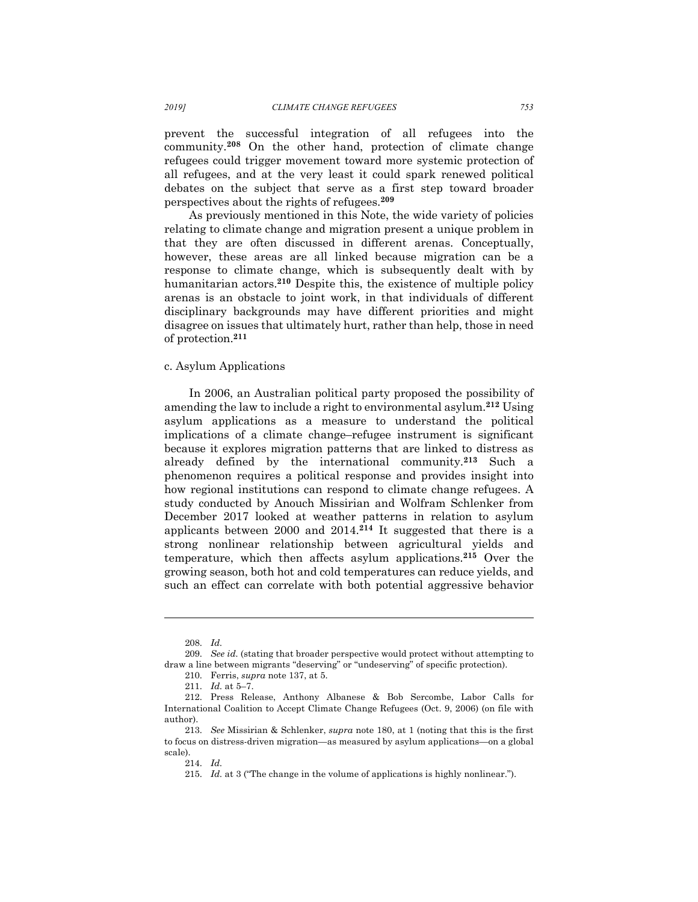prevent the successful integration of all refugees into the community.**<sup>208</sup>** On the other hand, protection of climate change refugees could trigger movement toward more systemic protection of all refugees, and at the very least it could spark renewed political debates on the subject that serve as a first step toward broader perspectives about the rights of refugees.**<sup>209</sup>**

As previously mentioned in this Note, the wide variety of policies relating to climate change and migration present a unique problem in that they are often discussed in different arenas. Conceptually, however, these areas are all linked because migration can be a response to climate change, which is subsequently dealt with by humanitarian actors.**<sup>210</sup>** Despite this, the existence of multiple policy arenas is an obstacle to joint work, in that individuals of different disciplinary backgrounds may have different priorities and might disagree on issues that ultimately hurt, rather than help, those in need of protection.**<sup>211</sup>**

#### c. Asylum Applications

In 2006, an Australian political party proposed the possibility of amending the law to include a right to environmental asylum.**<sup>212</sup>** Using asylum applications as a measure to understand the political implications of a climate change–refugee instrument is significant because it explores migration patterns that are linked to distress as already defined by the international community.**<sup>213</sup>** Such a phenomenon requires a political response and provides insight into how regional institutions can respond to climate change refugees. A study conducted by Anouch Missirian and Wolfram Schlenker from December 2017 looked at weather patterns in relation to asylum applicants between 2000 and 2014.**<sup>214</sup>** It suggested that there is a strong nonlinear relationship between agricultural yields and temperature, which then affects asylum applications.**<sup>215</sup>** Over the growing season, both hot and cold temperatures can reduce yields, and such an effect can correlate with both potential aggressive behavior

<sup>208.</sup> *Id.*

<sup>209.</sup> *See id.* (stating that broader perspective would protect without attempting to draw a line between migrants "deserving" or "undeserving" of specific protection).

<sup>210.</sup> Ferris, *supra* note 137, at 5.

<sup>211.</sup> *Id.* at 5–7.

<sup>212.</sup> Press Release, Anthony Albanese & Bob Sercombe, Labor Calls for International Coalition to Accept Climate Change Refugees (Oct. 9, 2006) (on file with author).

<sup>213.</sup> *See* Missirian & Schlenker, *supra* note 180, at 1 (noting that this is the first to focus on distress-driven migration—as measured by asylum applications—on a global scale).

<sup>214.</sup> *Id.*

<sup>215.</sup> *Id.* at 3 ("The change in the volume of applications is highly nonlinear.").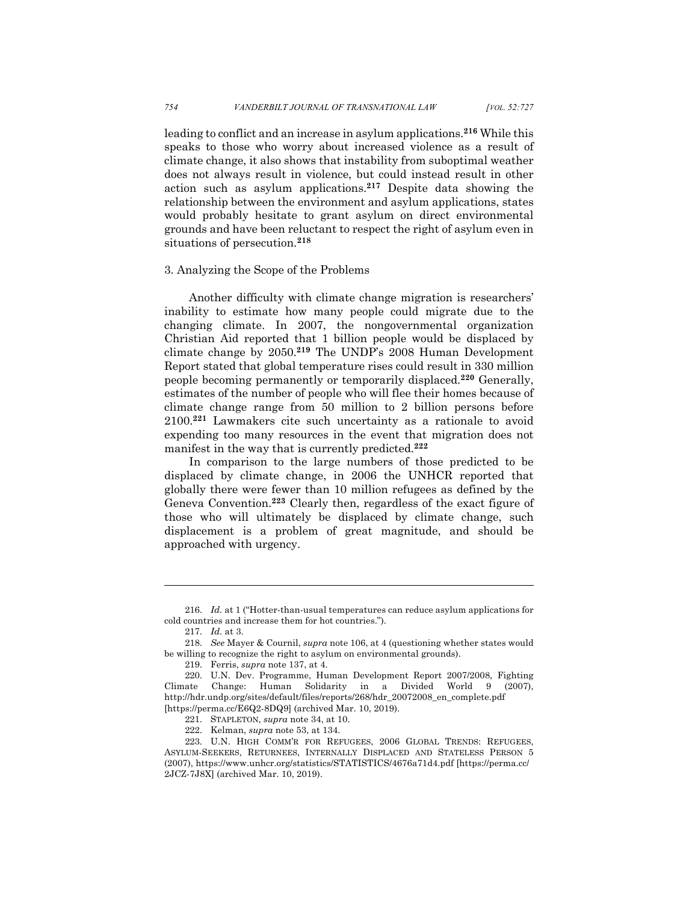leading to conflict and an increase in asylum applications.**<sup>216</sup>** While this speaks to those who worry about increased violence as a result of climate change, it also shows that instability from suboptimal weather does not always result in violence, but could instead result in other action such as asylum applications.**<sup>217</sup>** Despite data showing the relationship between the environment and asylum applications, states would probably hesitate to grant asylum on direct environmental grounds and have been reluctant to respect the right of asylum even in situations of persecution.**<sup>218</sup>**

## 3. Analyzing the Scope of the Problems

Another difficulty with climate change migration is researchers' inability to estimate how many people could migrate due to the changing climate. In 2007, the nongovernmental organization Christian Aid reported that 1 billion people would be displaced by climate change by 2050.**<sup>219</sup>** The UNDP's 2008 Human Development Report stated that global temperature rises could result in 330 million people becoming permanently or temporarily displaced.**<sup>220</sup>** Generally, estimates of the number of people who will flee their homes because of climate change range from 50 million to 2 billion persons before 2100.**<sup>221</sup>** Lawmakers cite such uncertainty as a rationale to avoid expending too many resources in the event that migration does not manifest in the way that is currently predicted.**<sup>222</sup>**

In comparison to the large numbers of those predicted to be displaced by climate change, in 2006 the UNHCR reported that globally there were fewer than 10 million refugees as defined by the Geneva Convention.**<sup>223</sup>** Clearly then, regardless of the exact figure of those who will ultimately be displaced by climate change, such displacement is a problem of great magnitude, and should be approached with urgency.

l

219. Ferris, *supra* note 137, at 4.

<sup>216.</sup> *Id.* at 1 ("Hotter-than-usual temperatures can reduce asylum applications for cold countries and increase them for hot countries.").

<sup>217.</sup> *Id.* at 3.

<sup>218.</sup> *See* Mayer & Cournil, *supra* note 106, at 4 (questioning whether states would be willing to recognize the right to asylum on environmental grounds).

<sup>220.</sup> U.N. Dev. Programme, Human Development Report 2007/2008, Fighting Climate Change: Human Solidarity in a Divided World 9 (2007), http://hdr.undp.org/sites/default/files/reports/268/hdr\_20072008\_en\_complete.pdf [https://perma.cc/E6Q2-8DQ9] (archived Mar. 10, 2019).

<sup>221.</sup> STAPLETON, *supra* note 34, at 10.

<sup>222.</sup> Kelman, *supra* note 53, at 134.

<sup>223.</sup> U.N. HIGH COMM'R FOR REFUGEES, 2006 GLOBAL TRENDS: REFUGEES, ASYLUM-SEEKERS, RETURNEES, INTERNALLY DISPLACED AND STATELESS PERSON 5 (2007), https://www.unhcr.org/statistics/STATISTICS/4676a71d4.pdf [https://perma.cc/ 2JCZ-7J8X] (archived Mar. 10, 2019).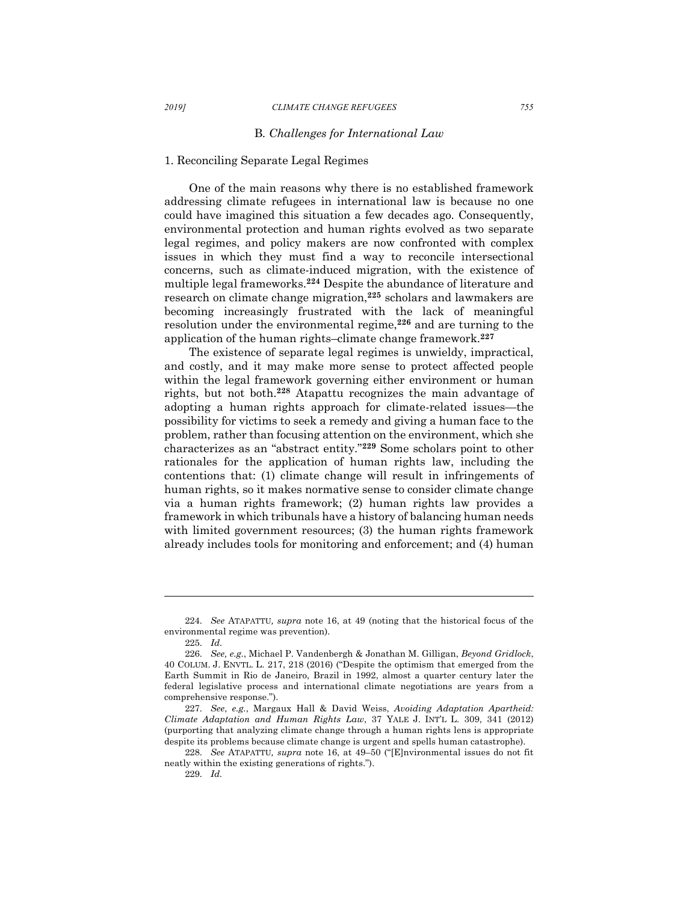### B*. Challenges for International Law*

## 1. Reconciling Separate Legal Regimes

One of the main reasons why there is no established framework addressing climate refugees in international law is because no one could have imagined this situation a few decades ago. Consequently, environmental protection and human rights evolved as two separate legal regimes, and policy makers are now confronted with complex issues in which they must find a way to reconcile intersectional concerns, such as climate-induced migration, with the existence of multiple legal frameworks.**<sup>224</sup>** Despite the abundance of literature and research on climate change migration,**<sup>225</sup>** scholars and lawmakers are becoming increasingly frustrated with the lack of meaningful resolution under the environmental regime,**<sup>226</sup>** and are turning to the application of the human rights–climate change framework. **227**

The existence of separate legal regimes is unwieldy, impractical, and costly, and it may make more sense to protect affected people within the legal framework governing either environment or human rights, but not both.**<sup>228</sup>** Atapattu recognizes the main advantage of adopting a human rights approach for climate-related issues—the possibility for victims to seek a remedy and giving a human face to the problem, rather than focusing attention on the environment, which she characterizes as an "abstract entity."**<sup>229</sup>** Some scholars point to other rationales for the application of human rights law, including the contentions that: (1) climate change will result in infringements of human rights, so it makes normative sense to consider climate change via a human rights framework; (2) human rights law provides a framework in which tribunals have a history of balancing human needs with limited government resources; (3) the human rights framework already includes tools for monitoring and enforcement; and (4) human

<sup>224.</sup> *See* ATAPATTU*, supra* note 16, at 49 (noting that the historical focus of the environmental regime was prevention).

<sup>225.</sup> *Id.*

<sup>226.</sup> *See, e.g.*, Michael P. Vandenbergh & Jonathan M. Gilligan, *Beyond Gridlock*, 40 COLUM. J. ENVTL. L. 217, 218 (2016) ("Despite the optimism that emerged from the Earth Summit in Rio de Janeiro, Brazil in 1992, almost a quarter century later the federal legislative process and international climate negotiations are years from a comprehensive response.").

<sup>227.</sup> *See*, *e.g.*, Margaux Hall & David Weiss, *Avoiding Adaptation Apartheid: Climate Adaptation and Human Rights Law*, 37 YALE J. INT'L L. 309, 341 (2012) (purporting that analyzing climate change through a human rights lens is appropriate despite its problems because climate change is urgent and spells human catastrophe).

<sup>228.</sup> *See* ATAPATTU*, supra* note 16, at 49–50 ("[E]nvironmental issues do not fit neatly within the existing generations of rights.").

<sup>229.</sup> *Id.*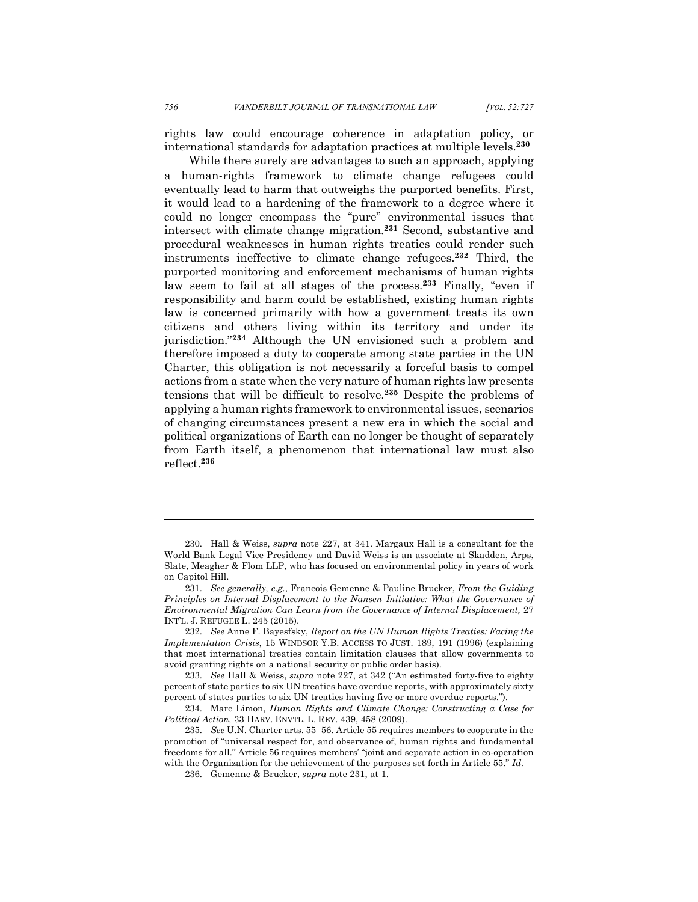rights law could encourage coherence in adaptation policy, or international standards for adaptation practices at multiple levels. **230**

While there surely are advantages to such an approach, applying a human-rights framework to climate change refugees could eventually lead to harm that outweighs the purported benefits. First, it would lead to a hardening of the framework to a degree where it could no longer encompass the "pure" environmental issues that intersect with climate change migration.**<sup>231</sup>** Second, substantive and procedural weaknesses in human rights treaties could render such instruments ineffective to climate change refugees.**<sup>232</sup>** Third, the purported monitoring and enforcement mechanisms of human rights law seem to fail at all stages of the process.**<sup>233</sup>** Finally, "even if responsibility and harm could be established, existing human rights law is concerned primarily with how a government treats its own citizens and others living within its territory and under its jurisdiction."**<sup>234</sup>** Although the UN envisioned such a problem and therefore imposed a duty to cooperate among state parties in the UN Charter, this obligation is not necessarily a forceful basis to compel actions from a state when the very nature of human rights law presents tensions that will be difficult to resolve.**<sup>235</sup>** Despite the problems of applying a human rights framework to environmental issues, scenarios of changing circumstances present a new era in which the social and political organizations of Earth can no longer be thought of separately from Earth itself, a phenomenon that international law must also reflect.**<sup>236</sup>**

<sup>230.</sup> Hall & Weiss, *supra* note 227, at 341. Margaux Hall is a consultant for the World Bank Legal Vice Presidency and David Weiss is an associate at Skadden, Arps, Slate, Meagher & Flom LLP, who has focused on environmental policy in years of work on Capitol Hill.

<sup>231.</sup> *See generally, e.g.*, Francois Gemenne & Pauline Brucker, *From the Guiding Principles on Internal Displacement to the Nansen Initiative: What the Governance of Environmental Migration Can Learn from the Governance of Internal Displacement,* 27 INT'L. J. REFUGEE L. 245 (2015).

<sup>232.</sup> *See* Anne F. Bayesfsky, *Report on the UN Human Rights Treaties: Facing the Implementation Crisis*, 15 WINDSOR Y.B. ACCESS TO JUST. 189, 191 (1996) (explaining that most international treaties contain limitation clauses that allow governments to avoid granting rights on a national security or public order basis).

<sup>233.</sup> *See* Hall & Weiss, *supra* note 227, at 342 ("An estimated forty-five to eighty percent of state parties to six UN treaties have overdue reports, with approximately sixty percent of states parties to six UN treaties having five or more overdue reports.").

<sup>234.</sup> Marc Limon, *Human Rights and Climate Change: Constructing a Case for Political Action,* 33 HARV. ENVTL. L. REV. 439, 458 (2009).

<sup>235.</sup> *See* U.N. Charter arts. 55–56. Article 55 requires members to cooperate in the promotion of "universal respect for, and observance of, human rights and fundamental freedoms for all." Article 56 requires members' "joint and separate action in co-operation with the Organization for the achievement of the purposes set forth in Article 55." *Id.*

<sup>236.</sup> Gemenne & Brucker, *supra* note 231, at 1.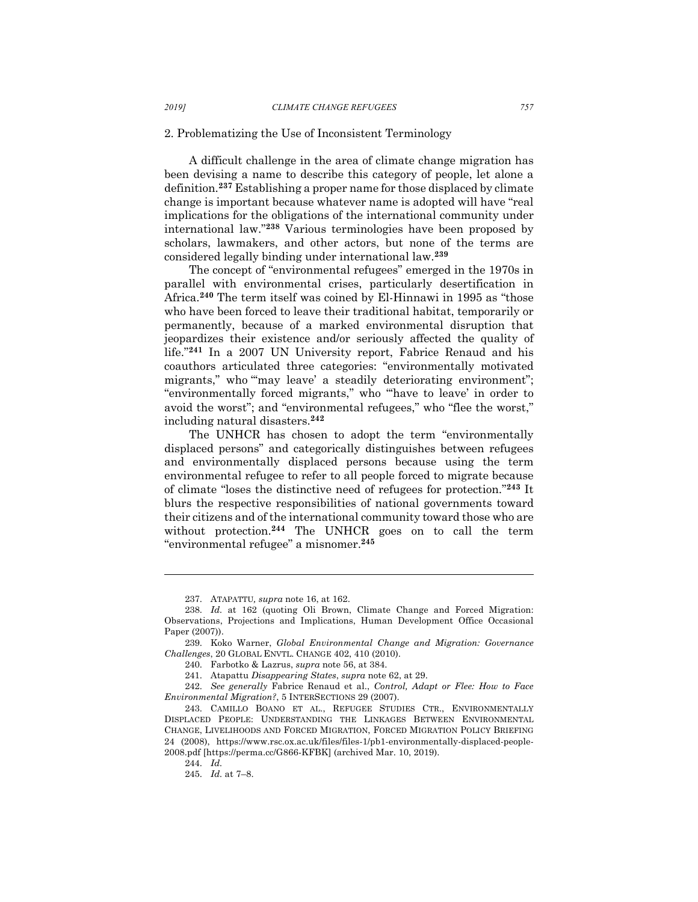#### 2. Problematizing the Use of Inconsistent Terminology

A difficult challenge in the area of climate change migration has been devising a name to describe this category of people, let alone a definition.**<sup>237</sup>** Establishing a proper name for those displaced by climate change is important because whatever name is adopted will have "real implications for the obligations of the international community under international law."**<sup>238</sup>** Various terminologies have been proposed by scholars, lawmakers, and other actors, but none of the terms are considered legally binding under international law.**<sup>239</sup>**

The concept of "environmental refugees" emerged in the 1970s in parallel with environmental crises, particularly desertification in Africa.**<sup>240</sup>** The term itself was coined by El-Hinnawi in 1995 as "those who have been forced to leave their traditional habitat, temporarily or permanently, because of a marked environmental disruption that jeopardizes their existence and/or seriously affected the quality of life."**<sup>241</sup>** In a 2007 UN University report, Fabrice Renaud and his coauthors articulated three categories: "environmentally motivated migrants," who "may leave' a steadily deteriorating environment"; "environmentally forced migrants," who "'have to leave' in order to avoid the worst"; and "environmental refugees," who "flee the worst," including natural disasters.**<sup>242</sup>**

The UNHCR has chosen to adopt the term "environmentally displaced persons" and categorically distinguishes between refugees and environmentally displaced persons because using the term environmental refugee to refer to all people forced to migrate because of climate "loses the distinctive need of refugees for protection."**<sup>243</sup>** It blurs the respective responsibilities of national governments toward their citizens and of the international community toward those who are without protection.**<sup>244</sup>** The UNHCR goes on to call the term "environmental refugee" a misnomer.**<sup>245</sup>**

242. *See generally* Fabrice Renaud et al., *Control, Adapt or Flee: How to Face Environmental Migration?*, 5 INTERSECTIONS 29 (2007).

<sup>237.</sup> ATAPATTU*, supra* note 16, at 162.

<sup>238.</sup> *Id.* at 162 (quoting Oli Brown, Climate Change and Forced Migration: Observations, Projections and Implications, Human Development Office Occasional Paper (2007)).

<sup>239.</sup> Koko Warner, *Global Environmental Change and Migration: Governance Challenges*, 20 GLOBAL ENVTL. CHANGE 402, 410 (2010).

<sup>240.</sup> Farbotko & Lazrus, *supra* note 56, at 384.

<sup>241.</sup> Atapattu *Disappearing States*, *supra* note 62, at 29.

<sup>243.</sup> CAMILLO BOANO ET AL., REFUGEE STUDIES CTR., ENVIRONMENTALLY DISPLACED PEOPLE: UNDERSTANDING THE LINKAGES BETWEEN ENVIRONMENTAL CHANGE, LIVELIHOODS AND FORCED MIGRATION, FORCED MIGRATION POLICY BRIEFING 24 (2008), https://www.rsc.ox.ac.uk/files/files-1/pb1-environmentally-displaced-people-2008.pdf [https://perma.cc/G866-KFBK] (archived Mar. 10, 2019).

<sup>244.</sup> *Id.*

<sup>245.</sup> *Id.* at 7–8.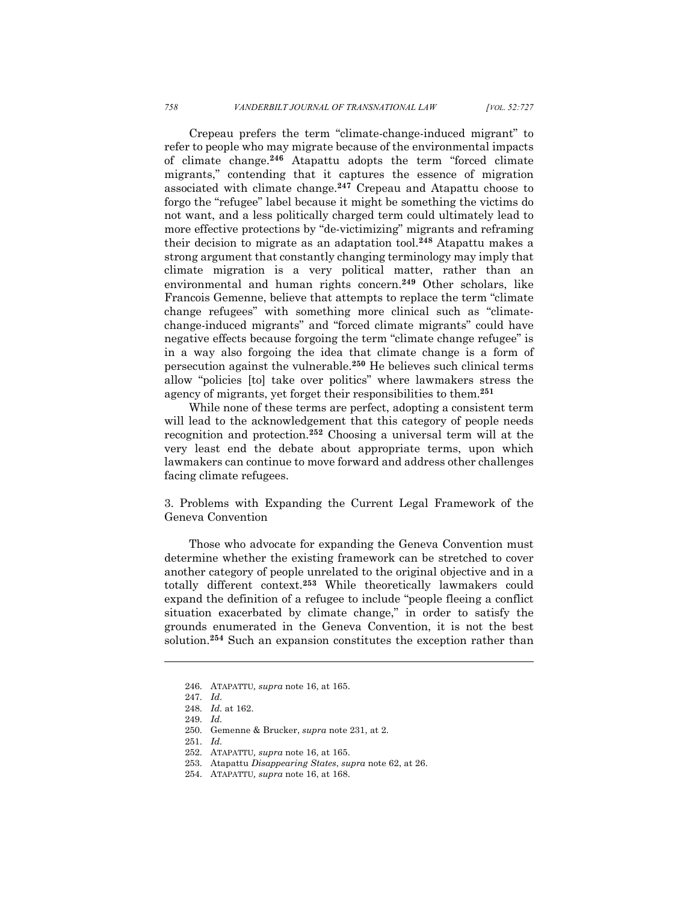Crepeau prefers the term "climate-change-induced migrant" to refer to people who may migrate because of the environmental impacts of climate change.**<sup>246</sup>** Atapattu adopts the term "forced climate migrants," contending that it captures the essence of migration associated with climate change.**<sup>247</sup>** Crepeau and Atapattu choose to forgo the "refugee" label because it might be something the victims do not want, and a less politically charged term could ultimately lead to more effective protections by "de-victimizing" migrants and reframing their decision to migrate as an adaptation tool.**<sup>248</sup>** Atapattu makes a strong argument that constantly changing terminology may imply that climate migration is a very political matter, rather than an environmental and human rights concern.**<sup>249</sup>** Other scholars, like Francois Gemenne, believe that attempts to replace the term "climate change refugees" with something more clinical such as "climatechange-induced migrants" and "forced climate migrants" could have negative effects because forgoing the term "climate change refugee" is in a way also forgoing the idea that climate change is a form of persecution against the vulnerable.**<sup>250</sup>** He believes such clinical terms allow "policies [to] take over politics" where lawmakers stress the agency of migrants, yet forget their responsibilities to them. **251**

While none of these terms are perfect, adopting a consistent term will lead to the acknowledgement that this category of people needs recognition and protection.**<sup>252</sup>** Choosing a universal term will at the very least end the debate about appropriate terms, upon which lawmakers can continue to move forward and address other challenges facing climate refugees.

3. Problems with Expanding the Current Legal Framework of the Geneva Convention

Those who advocate for expanding the Geneva Convention must determine whether the existing framework can be stretched to cover another category of people unrelated to the original objective and in a totally different context.**<sup>253</sup>** While theoretically lawmakers could expand the definition of a refugee to include "people fleeing a conflict situation exacerbated by climate change," in order to satisfy the grounds enumerated in the Geneva Convention, it is not the best solution.**<sup>254</sup>** Such an expansion constitutes the exception rather than

<sup>246.</sup> ATAPATTU*, supra* note 16, at 165.

<sup>247.</sup> *Id.*

<sup>248.</sup> *Id.* at 162.

<sup>249.</sup> *Id.*

<sup>250.</sup> Gemenne & Brucker, *supra* note 231, at 2.

<sup>251.</sup> *Id.*

<sup>252.</sup> ATAPATTU*, supra* note 16, at 165.

<sup>253.</sup> Atapattu *Disappearing States*, *supra* note 62, at 26.

<sup>254.</sup> ATAPATTU*, supra* note 16, at 168.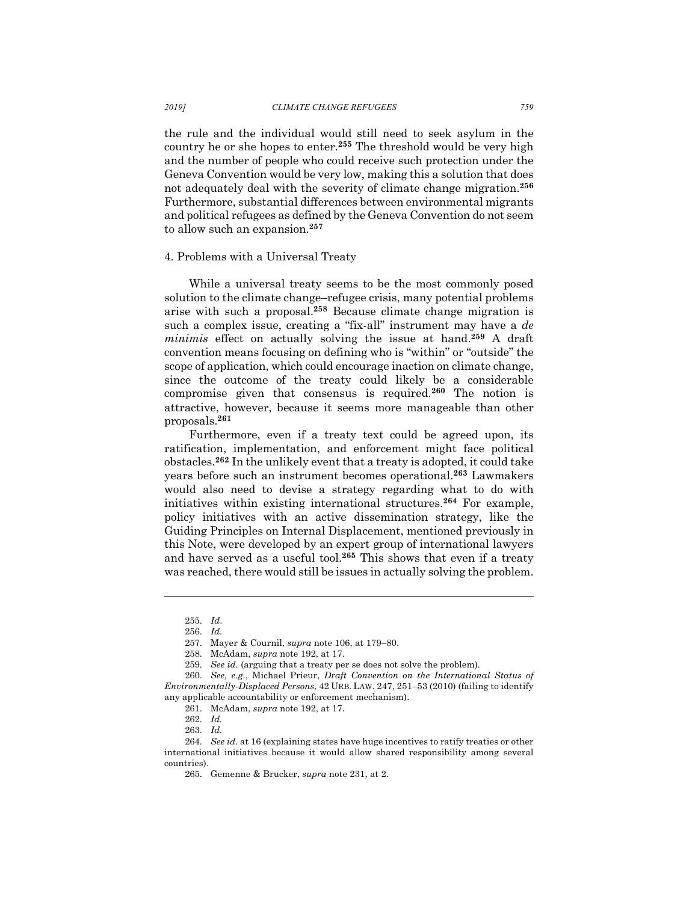the rule and the individual would still need to seek asylum in the country he or she hopes to enter.**<sup>255</sup>** The threshold would be very high and the number of people who could receive such protection under the Geneva Convention would be very low, making this a solution that does not adequately deal with the severity of climate change migration.**<sup>256</sup>** Furthermore, substantial differences between environmental migrants and political refugees as defined by the Geneva Convention do not seem to allow such an expansion.**<sup>257</sup>**

# 4. Problems with a Universal Treaty

While a universal treaty seems to be the most commonly posed solution to the climate change–refugee crisis, many potential problems arise with such a proposal.**<sup>258</sup>** Because climate change migration is such a complex issue, creating a "fix-all" instrument may have a *de minimis* effect on actually solving the issue at hand.**<sup>259</sup>** A draft convention means focusing on defining who is "within" or "outside" the scope of application, which could encourage inaction on climate change, since the outcome of the treaty could likely be a considerable compromise given that consensus is required.**<sup>260</sup>** The notion is attractive, however, because it seems more manageable than other proposals.**<sup>261</sup>**

Furthermore, even if a treaty text could be agreed upon, its ratification, implementation, and enforcement might face political obstacles.**<sup>262</sup>** In the unlikely event that a treaty is adopted, it could take years before such an instrument becomes operational.**<sup>263</sup>** Lawmakers would also need to devise a strategy regarding what to do with initiatives within existing international structures.**<sup>264</sup>** For example, policy initiatives with an active dissemination strategy, like the Guiding Principles on Internal Displacement, mentioned previously in this Note, were developed by an expert group of international lawyers and have served as a useful tool.**<sup>265</sup>** This shows that even if a treaty was reached, there would still be issues in actually solving the problem.

<sup>255.</sup> *Id*.

<sup>256.</sup> *Id.*

<sup>257.</sup> Mayer & Cournil, *supra* note 106, at 179–80.

<sup>258.</sup> McAdam, *supra* note 192, at 17.

<sup>259.</sup> *See id.* (arguing that a treaty per se does not solve the problem)*.*

<sup>260.</sup> *See, e.g.*, Michael Prieur, *Draft Convention on the International Status of Environmentally-Displaced Persons*, 42 URB. LAW. 247, 251–53 (2010) (failing to identify any applicable accountability or enforcement mechanism).

<sup>261.</sup> McAdam, *supra* note 192, at 17.

<sup>262.</sup> *Id.*

<sup>263.</sup> *Id.*

<sup>264.</sup> *See id.* at 16 (explaining states have huge incentives to ratify treaties or other international initiatives because it would allow shared responsibility among several countries).

<sup>265.</sup> Gemenne & Brucker, *supra* note 231, at 2.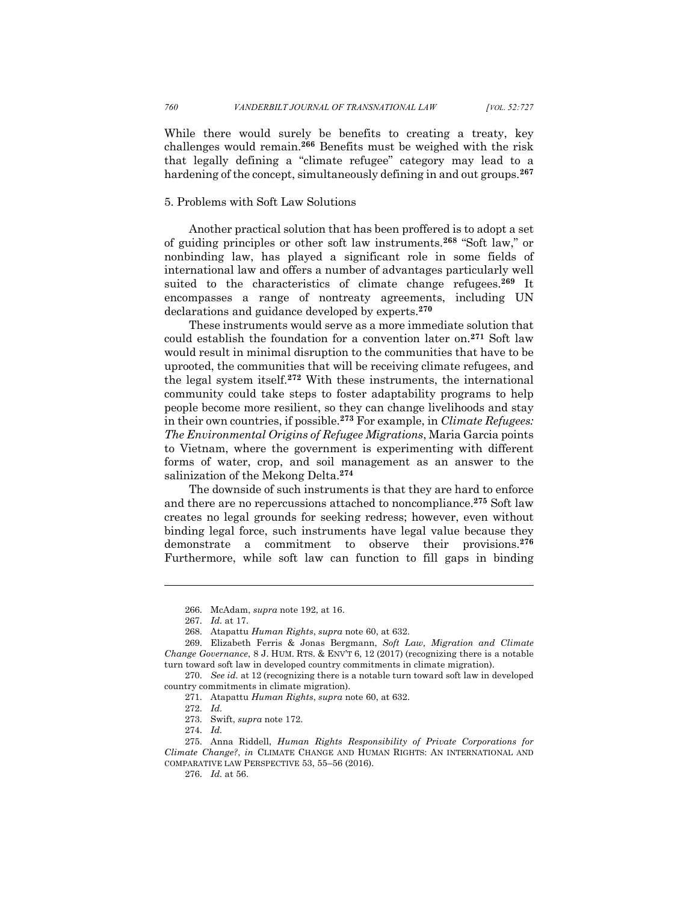While there would surely be benefits to creating a treaty, key challenges would remain.**<sup>266</sup>** Benefits must be weighed with the risk that legally defining a "climate refugee" category may lead to a hardening of the concept, simultaneously defining in and out groups.**<sup>267</sup>**

# 5. Problems with Soft Law Solutions

Another practical solution that has been proffered is to adopt a set of guiding principles or other soft law instruments.**<sup>268</sup>** "Soft law," or nonbinding law, has played a significant role in some fields of international law and offers a number of advantages particularly well suited to the characteristics of climate change refugees.**<sup>269</sup>** It encompasses a range of nontreaty agreements, including UN declarations and guidance developed by experts.**<sup>270</sup>**

These instruments would serve as a more immediate solution that could establish the foundation for a convention later on.**<sup>271</sup>** Soft law would result in minimal disruption to the communities that have to be uprooted, the communities that will be receiving climate refugees, and the legal system itself.**<sup>272</sup>** With these instruments, the international community could take steps to foster adaptability programs to help people become more resilient, so they can change livelihoods and stay in their own countries, if possible.**<sup>273</sup>** For example, in *Climate Refugees: The Environmental Origins of Refugee Migrations*, Maria Garcia points to Vietnam, where the government is experimenting with different forms of water, crop, and soil management as an answer to the salinization of the Mekong Delta.**<sup>274</sup>**

The downside of such instruments is that they are hard to enforce and there are no repercussions attached to noncompliance.**<sup>275</sup>** Soft law creates no legal grounds for seeking redress; however, even without binding legal force, such instruments have legal value because they demonstrate a commitment to observe their provisions.**<sup>276</sup>** Furthermore, while soft law can function to fill gaps in binding

<sup>266.</sup> McAdam, *supra* note 192, at 16.

<sup>267.</sup> *Id.* at 17.

<sup>268.</sup> Atapattu *Human Rights*, *supra* note 60, at 632.

<sup>269.</sup> Elizabeth Ferris & Jonas Bergmann, *Soft Law, Migration and Climate Change Governance*, 8 J. HUM. RTS. & ENV'T 6, 12 (2017) (recognizing there is a notable turn toward soft law in developed country commitments in climate migration).

<sup>270.</sup> *See id.* at 12 (recognizing there is a notable turn toward soft law in developed country commitments in climate migration).

<sup>271.</sup> Atapattu *Human Rights*, *supra* note 60, at 632.

<sup>272.</sup> *Id.*

<sup>273.</sup> Swift, *supra* note 172.

<sup>274.</sup> *Id.*

<sup>275.</sup> Anna Riddell, *Human Rights Responsibility of Private Corporations for Climate Change?*, *in* CLIMATE CHANGE AND HUMAN RIGHTS: AN INTERNATIONAL AND COMPARATIVE LAW PERSPECTIVE 53, 55–56 (2016).

<sup>276.</sup> *Id.* at 56.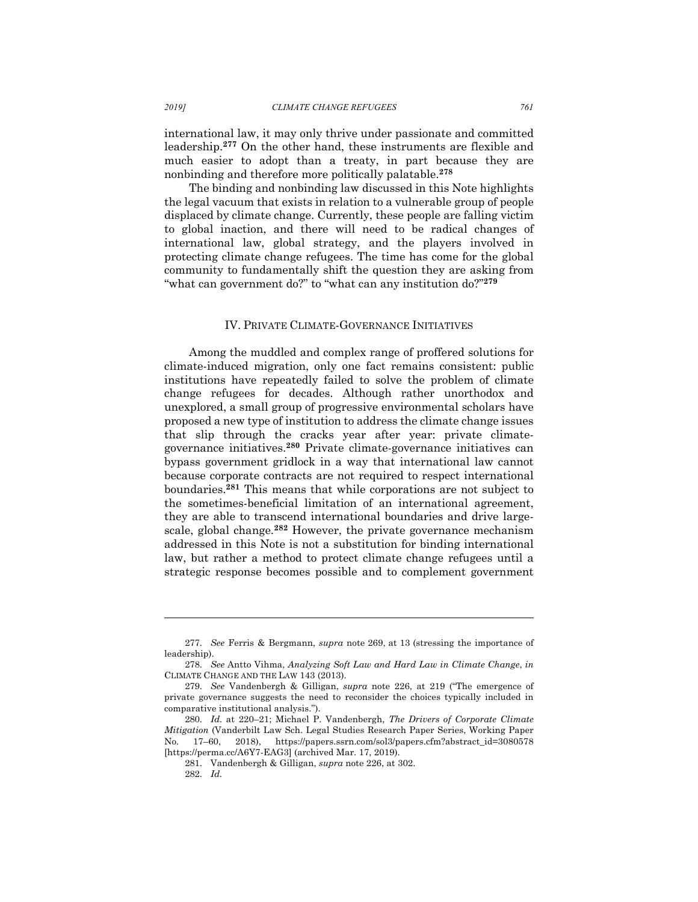international law, it may only thrive under passionate and committed leadership.**<sup>277</sup>** On the other hand, these instruments are flexible and much easier to adopt than a treaty, in part because they are nonbinding and therefore more politically palatable.**<sup>278</sup>**

The binding and nonbinding law discussed in this Note highlights the legal vacuum that exists in relation to a vulnerable group of people displaced by climate change. Currently, these people are falling victim to global inaction, and there will need to be radical changes of international law, global strategy, and the players involved in protecting climate change refugees. The time has come for the global community to fundamentally shift the question they are asking from "what can government do?" to "what can any institution do?"**<sup>279</sup>**

#### IV. PRIVATE CLIMATE-GOVERNANCE INITIATIVES

Among the muddled and complex range of proffered solutions for climate-induced migration, only one fact remains consistent: public institutions have repeatedly failed to solve the problem of climate change refugees for decades. Although rather unorthodox and unexplored, a small group of progressive environmental scholars have proposed a new type of institution to address the climate change issues that slip through the cracks year after year: private climategovernance initiatives.**<sup>280</sup>** Private climate-governance initiatives can bypass government gridlock in a way that international law cannot because corporate contracts are not required to respect international boundaries.**<sup>281</sup>** This means that while corporations are not subject to the sometimes-beneficial limitation of an international agreement, they are able to transcend international boundaries and drive largescale, global change.**<sup>282</sup>** However, the private governance mechanism addressed in this Note is not a substitution for binding international law, but rather a method to protect climate change refugees until a strategic response becomes possible and to complement government

<sup>277.</sup> *See* Ferris & Bergmann, *supra* note 269, at 13 (stressing the importance of leadership).

<sup>278.</sup> *See* Antto Vihma, *Analyzing Soft Law and Hard Law in Climate Change*, *in*  CLIMATE CHANGE AND THE LAW 143 (2013).

<sup>279.</sup> *See* Vandenbergh & Gilligan, *supra* note 226, at 219 ("The emergence of private governance suggests the need to reconsider the choices typically included in comparative institutional analysis.").

<sup>280.</sup> *Id.* at 220–21; Michael P. Vandenbergh, *The Drivers of Corporate Climate Mitigation* (Vanderbilt Law Sch. Legal Studies Research Paper Series, Working Paper No. 17–60, 2018), https://papers.ssrn.com/sol3/papers.cfm?abstract\_id=3080578 [https://perma.cc/A6Y7-EAG3] (archived Mar. 17, 2019).

<sup>281.</sup> Vandenbergh & Gilligan, *supra* note 226, at 302.

<sup>282.</sup> *Id.*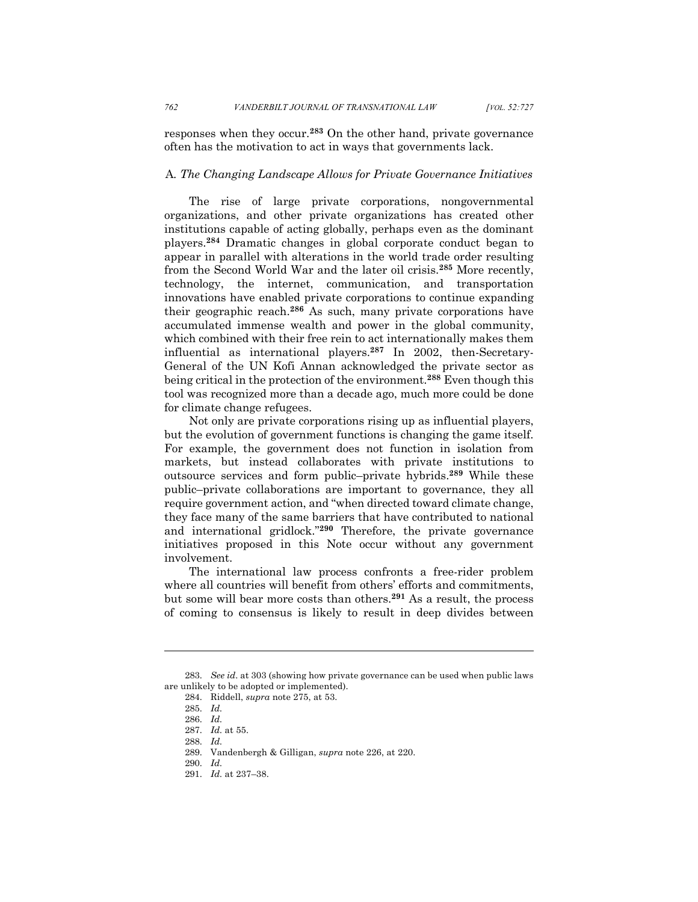responses when they occur.**<sup>283</sup>** On the other hand, private governance often has the motivation to act in ways that governments lack.

# A*. The Changing Landscape Allows for Private Governance Initiatives*

The rise of large private corporations, nongovernmental organizations, and other private organizations has created other institutions capable of acting globally, perhaps even as the dominant players. **<sup>284</sup>** Dramatic changes in global corporate conduct began to appear in parallel with alterations in the world trade order resulting from the Second World War and the later oil crisis.**<sup>285</sup>** More recently, technology, the internet, communication, and transportation innovations have enabled private corporations to continue expanding their geographic reach.**<sup>286</sup>** As such, many private corporations have accumulated immense wealth and power in the global community, which combined with their free rein to act internationally makes them influential as international players.**<sup>287</sup>** In 2002, then-Secretary-General of the UN Kofi Annan acknowledged the private sector as being critical in the protection of the environment.**<sup>288</sup>** Even though this tool was recognized more than a decade ago, much more could be done for climate change refugees.

Not only are private corporations rising up as influential players, but the evolution of government functions is changing the game itself. For example, the government does not function in isolation from markets, but instead collaborates with private institutions to outsource services and form public–private hybrids.**<sup>289</sup>** While these public–private collaborations are important to governance, they all require government action, and "when directed toward climate change, they face many of the same barriers that have contributed to national and international gridlock."**<sup>290</sup>** Therefore, the private governance initiatives proposed in this Note occur without any government involvement.

The international law process confronts a free-rider problem where all countries will benefit from others' efforts and commitments, but some will bear more costs than others.**<sup>291</sup>** As a result, the process of coming to consensus is likely to result in deep divides between

<sup>283.</sup> *See id*. at 303 (showing how private governance can be used when public laws are unlikely to be adopted or implemented).

<sup>284.</sup> Riddell, *supra* note 275, at 53.

<sup>285.</sup> *Id.*

<sup>286.</sup> *Id.*

<sup>287.</sup> *Id.* at 55.

<sup>288.</sup> *Id.*

<sup>289.</sup> Vandenbergh & Gilligan, *supra* note 226, at 220.

<sup>290.</sup> *Id.*

<sup>291.</sup> *Id.* at 237–38.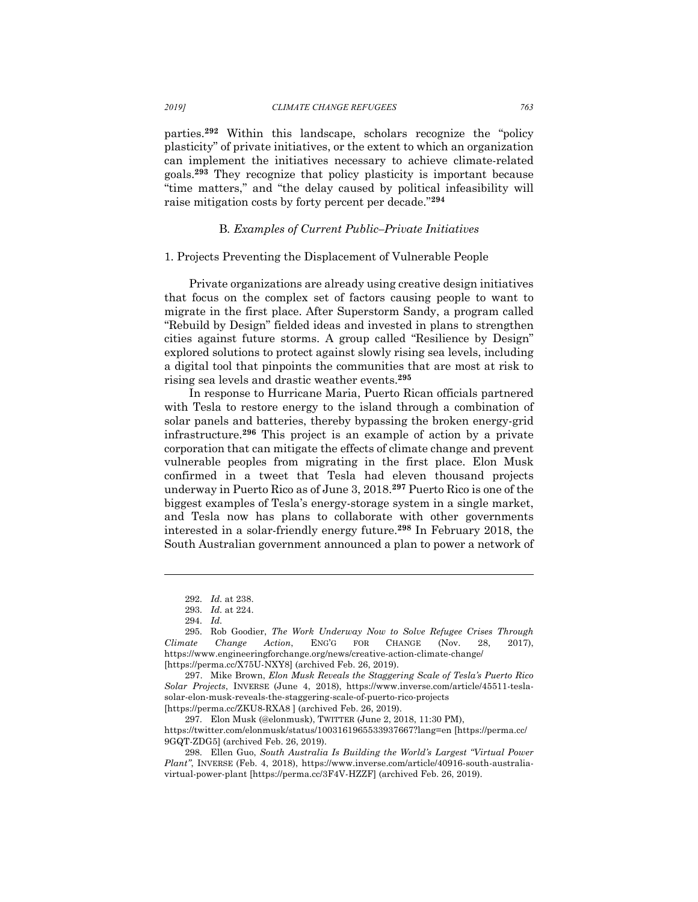parties.**<sup>292</sup>** Within this landscape, scholars recognize the "policy plasticity" of private initiatives, or the extent to which an organization can implement the initiatives necessary to achieve climate-related goals.**<sup>293</sup>** They recognize that policy plasticity is important because "time matters," and "the delay caused by political infeasibility will raise mitigation costs by forty percent per decade."**<sup>294</sup>**

## B*. Examples of Current Public–Private Initiatives*

# 1. Projects Preventing the Displacement of Vulnerable People

Private organizations are already using creative design initiatives that focus on the complex set of factors causing people to want to migrate in the first place. After Superstorm Sandy, a program called "Rebuild by Design" fielded ideas and invested in plans to strengthen cities against future storms. A group called "Resilience by Design" explored solutions to protect against slowly rising sea levels, including a digital tool that pinpoints the communities that are most at risk to rising sea levels and drastic weather events.**<sup>295</sup>**

In response to Hurricane Maria, Puerto Rican officials partnered with Tesla to restore energy to the island through a combination of solar panels and batteries, thereby bypassing the broken energy-grid infrastructure.**<sup>296</sup>** This project is an example of action by a private corporation that can mitigate the effects of climate change and prevent vulnerable peoples from migrating in the first place. Elon Musk confirmed in a tweet that Tesla had eleven thousand projects underway in Puerto Rico as of June 3, 2018.**<sup>297</sup>** Puerto Rico is one of the biggest examples of Tesla's energy-storage system in a single market, and Tesla now has plans to collaborate with other governments interested in a solar-friendly energy future.**<sup>298</sup>** In February 2018, the South Australian government announced a plan to power a network of

<sup>292.</sup> *Id.* at 238.

<sup>293.</sup> *Id.* at 224.

<sup>294.</sup> *Id.*

<sup>295.</sup> Rob Goodier, *The Work Underway Now to Solve Refugee Crises Through Climate Change Action*, ENG'G FOR CHANGE (Nov. 28, 2017), https://www.engineeringforchange.org/news/creative-action-climate-change/ [https://perma.cc/X75U-NXY8] (archived Feb. 26, 2019).

<sup>297.</sup> Mike Brown, *Elon Musk Reveals the Staggering Scale of Tesla's Puerto Rico Solar Projects*, INVERSE (June 4, 2018), https://www.inverse.com/article/45511-teslasolar-elon-musk-reveals-the-staggering-scale-of-puerto-rico-projects [https://perma.cc/ZKU8-RXA8 ] (archived Feb. 26, 2019).

<sup>297.</sup> Elon Musk (@elonmusk), TWITTER (June 2, 2018, 11:30 PM),

https://twitter.com/elonmusk/status/1003161965533937667?lang=en [https://perma.cc/ 9GQT-ZDG5] (archived Feb. 26, 2019).

<sup>298.</sup> Ellen Guo, *South Australia Is Building the World's Largest "Virtual Power Plant"*, INVERSE (Feb. 4, 2018), https://www.inverse.com/article/40916-south-australiavirtual-power-plant [https://perma.cc/3F4V-HZZF] (archived Feb. 26, 2019).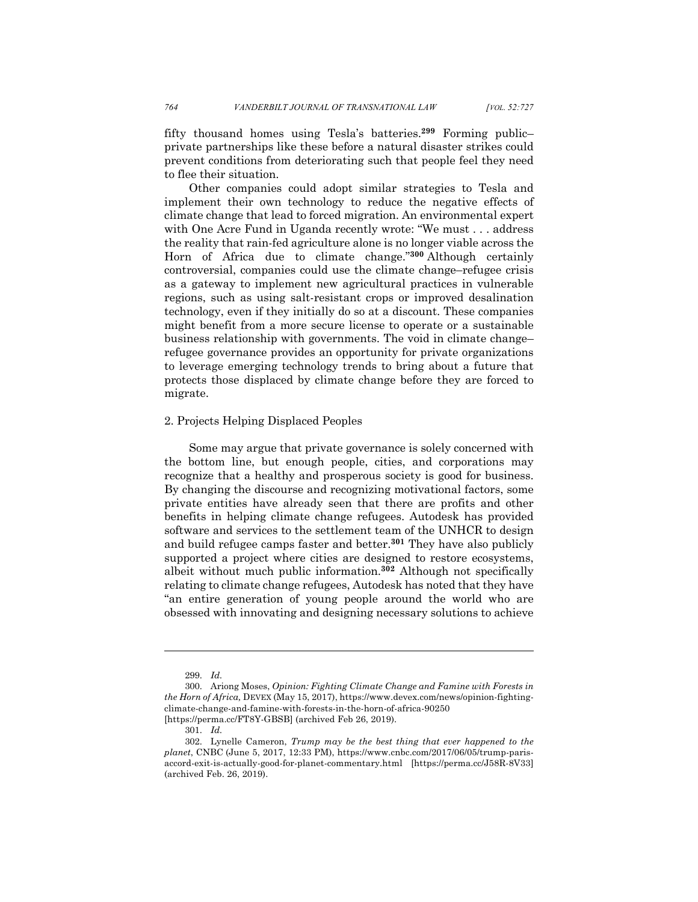fifty thousand homes using Tesla's batteries.**<sup>299</sup>** Forming public– private partnerships like these before a natural disaster strikes could prevent conditions from deteriorating such that people feel they need to flee their situation.

Other companies could adopt similar strategies to Tesla and implement their own technology to reduce the negative effects of climate change that lead to forced migration. An environmental expert with One Acre Fund in Uganda recently wrote: "We must . . . address the reality that rain-fed agriculture alone is no longer viable across the Horn of Africa due to climate change."**<sup>300</sup>** Although certainly controversial, companies could use the climate change–refugee crisis as a gateway to implement new agricultural practices in vulnerable regions, such as using salt-resistant crops or improved desalination technology, even if they initially do so at a discount. These companies might benefit from a more secure license to operate or a sustainable business relationship with governments. The void in climate change– refugee governance provides an opportunity for private organizations to leverage emerging technology trends to bring about a future that protects those displaced by climate change before they are forced to migrate.

## 2. Projects Helping Displaced Peoples

Some may argue that private governance is solely concerned with the bottom line, but enough people, cities, and corporations may recognize that a healthy and prosperous society is good for business. By changing the discourse and recognizing motivational factors, some private entities have already seen that there are profits and other benefits in helping climate change refugees. Autodesk has provided software and services to the settlement team of the UNHCR to design and build refugee camps faster and better.**<sup>301</sup>** They have also publicly supported a project where cities are designed to restore ecosystems, albeit without much public information.**<sup>302</sup>** Although not specifically relating to climate change refugees, Autodesk has noted that they have "an entire generation of young people around the world who are obsessed with innovating and designing necessary solutions to achieve

<sup>299.</sup> *Id.*

<sup>300.</sup> Ariong Moses, *Opinion: Fighting Climate Change and Famine with Forests in the Horn of Africa,* DEVEX (May 15, 2017), https://www.devex.com/news/opinion-fightingclimate-change-and-famine-with-forests-in-the-horn-of-africa-90250 [https://perma.cc/FT8Y-GBSB] (archived Feb 26, 2019).

<sup>301.</sup> *Id.*

<sup>302.</sup> Lynelle Cameron, *Trump may be the best thing that ever happened to the planet*, CNBC (June 5, 2017, 12:33 PM), https://www.cnbc.com/2017/06/05/trump-parisaccord-exit-is-actually-good-for-planet-commentary.html [https://perma.cc/J58R-8V33] (archived Feb. 26, 2019).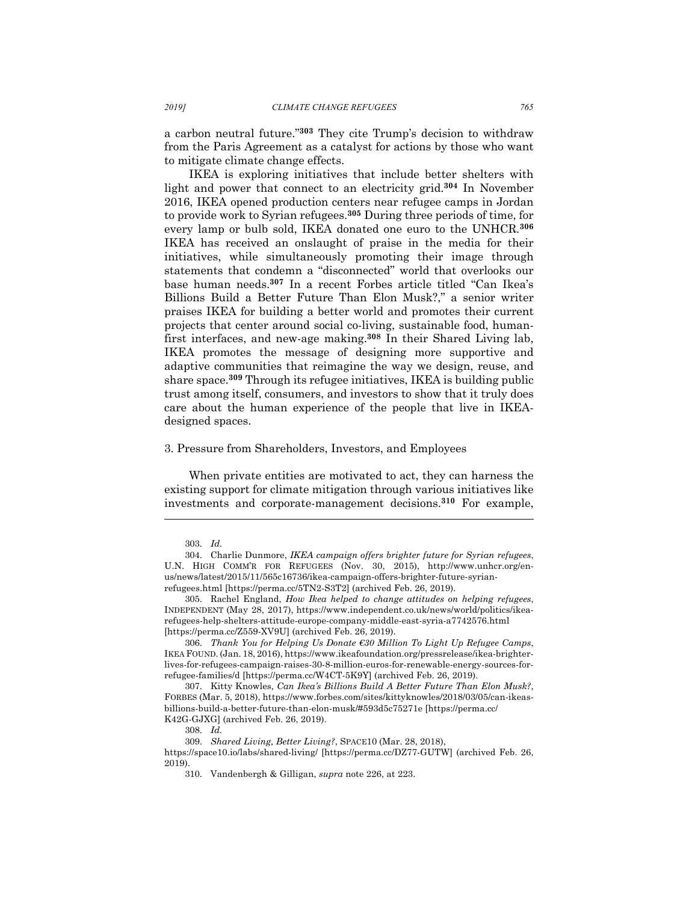a carbon neutral future."**<sup>303</sup>** They cite Trump's decision to withdraw from the Paris Agreement as a catalyst for actions by those who want to mitigate climate change effects.

IKEA is exploring initiatives that include better shelters with light and power that connect to an electricity grid.**<sup>304</sup>** In November 2016, IKEA opened production centers near refugee camps in Jordan to provide work to Syrian refugees. **<sup>305</sup>** During three periods of time, for every lamp or bulb sold, IKEA donated one euro to the UNHCR.**<sup>306</sup>** IKEA has received an onslaught of praise in the media for their initiatives, while simultaneously promoting their image through statements that condemn a "disconnected" world that overlooks our base human needs.**<sup>307</sup>** In a recent Forbes article titled "Can Ikea's Billions Build a Better Future Than Elon Musk?," a senior writer praises IKEA for building a better world and promotes their current projects that center around social co-living, sustainable food, humanfirst interfaces, and new-age making.**<sup>308</sup>** In their Shared Living lab, IKEA promotes the message of designing more supportive and adaptive communities that reimagine the way we design, reuse, and share space.**<sup>309</sup>** Through its refugee initiatives, IKEA is building public trust among itself, consumers, and investors to show that it truly does care about the human experience of the people that live in IKEAdesigned spaces.

#### 3. Pressure from Shareholders, Investors, and Employees

When private entities are motivated to act, they can harness the existing support for climate mitigation through various initiatives like investments and corporate-management decisions.**<sup>310</sup>** For example,

<sup>303.</sup> *Id.*

<sup>304.</sup> Charlie Dunmore, *IKEA campaign offers brighter future for Syrian refugees*, U.N. HIGH COMM'R FOR REFUGEES (Nov. 30, 2015), http://www.unhcr.org/enus/news/latest/2015/11/565c16736/ikea-campaign-offers-brighter-future-syrianrefugees.html [https://perma.cc/5TN2-S3T2] (archived Feb. 26, 2019).

<sup>305.</sup> Rachel England, *How Ikea helped to change attitudes on helping refugees*, INDEPENDENT (May 28, 2017), https://www.independent.co.uk/news/world/politics/ikearefugees-help-shelters-attitude-europe-company-middle-east-syria-a7742576.html [https://perma.cc/Z559-XV9U] (archived Feb. 26, 2019).

<sup>306.</sup> *Thank You for Helping Us Donate €30 Million To Light Up Refugee Camps*, IKEA FOUND. (Jan. 18, 2016), https://www.ikeafoundation.org/pressrelease/ikea-brighterlives-for-refugees-campaign-raises-30-8-million-euros-for-renewable-energy-sources-forrefugee-families/d [https://perma.cc/W4CT-5K9Y] (archived Feb. 26, 2019).

<sup>307.</sup> Kitty Knowles, *Can Ikea's Billions Build A Better Future Than Elon Musk?*, FORBES (Mar. 5, 2018), https://www.forbes.com/sites/kittyknowles/2018/03/05/can-ikeasbillions-build-a-better-future-than-elon-musk/#593d5c75271e [https://perma.cc/ K42G-GJXG] (archived Feb. 26, 2019).

<sup>308.</sup> *Id.*

<sup>309.</sup> *Shared Living, Better Living?*, SPACE10 (Mar. 28, 2018),

https://space10.io/labs/shared-living/ [https://perma.cc/DZ77-GUTW] (archived Feb. 26, 2019).

<sup>310.</sup> Vandenbergh & Gilligan, *supra* note 226, at 223.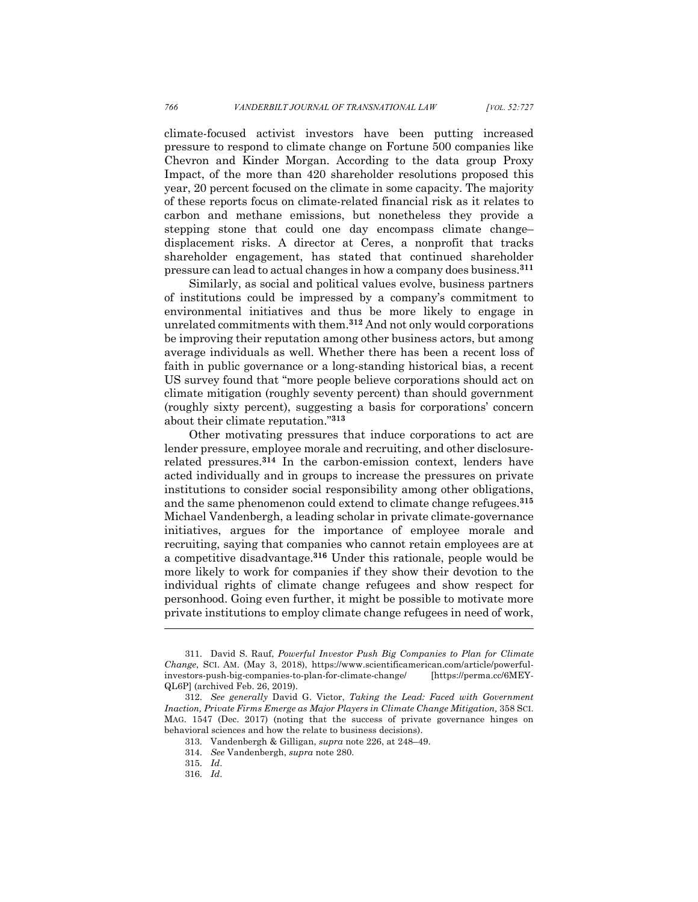climate-focused activist investors have been putting increased pressure to respond to climate change on Fortune 500 companies like Chevron and Kinder Morgan. According to the data group Proxy Impact, of the more than 420 shareholder resolutions proposed this year, 20 percent focused on the climate in some capacity. The majority of these reports focus on climate-related financial risk as it relates to carbon and methane emissions, but nonetheless they provide a stepping stone that could one day encompass climate change– displacement risks. A director at Ceres, a nonprofit that tracks shareholder engagement, has stated that continued shareholder pressure can lead to actual changes in how a company does business.**<sup>311</sup>**

Similarly, as social and political values evolve, business partners of institutions could be impressed by a company's commitment to environmental initiatives and thus be more likely to engage in unrelated commitments with them.**<sup>312</sup>** And not only would corporations be improving their reputation among other business actors, but among average individuals as well. Whether there has been a recent loss of faith in public governance or a long-standing historical bias, a recent US survey found that "more people believe corporations should act on climate mitigation (roughly seventy percent) than should government (roughly sixty percent), suggesting a basis for corporations' concern about their climate reputation."**<sup>313</sup>**

Other motivating pressures that induce corporations to act are lender pressure, employee morale and recruiting, and other disclosurerelated pressures.**<sup>314</sup>** In the carbon-emission context, lenders have acted individually and in groups to increase the pressures on private institutions to consider social responsibility among other obligations, and the same phenomenon could extend to climate change refugees.**<sup>315</sup>** Michael Vandenbergh, a leading scholar in private climate-governance initiatives, argues for the importance of employee morale and recruiting, saying that companies who cannot retain employees are at a competitive disadvantage.**<sup>316</sup>** Under this rationale, people would be more likely to work for companies if they show their devotion to the individual rights of climate change refugees and show respect for personhood. Going even further, it might be possible to motivate more private institutions to employ climate change refugees in need of work,

<sup>311.</sup> David S. Rauf, *Powerful Investor Push Big Companies to Plan for Climate Change*, SCI. AM. (May 3, 2018), https://www.scientificamerican.com/article/powerfulinvestors-push-big-companies-to-plan-for-climate-change/ [https://perma.cc/6MEY-QL6P] (archived Feb. 26, 2019).

<sup>312.</sup> *See generally* David G. Victor, *Taking the Lead: Faced with Government Inaction, Private Firms Emerge as Major Players in Climate Change Mitigation, 358 SCI.* MAG. 1547 (Dec. 2017) (noting that the success of private governance hinges on behavioral sciences and how the relate to business decisions).

<sup>313.</sup> Vandenbergh & Gilligan, *supra* note 226, at 248–49.

<sup>314.</sup> *See* Vandenbergh, *supra* note 280.

<sup>315.</sup> *Id*.

<sup>316.</sup> *Id*.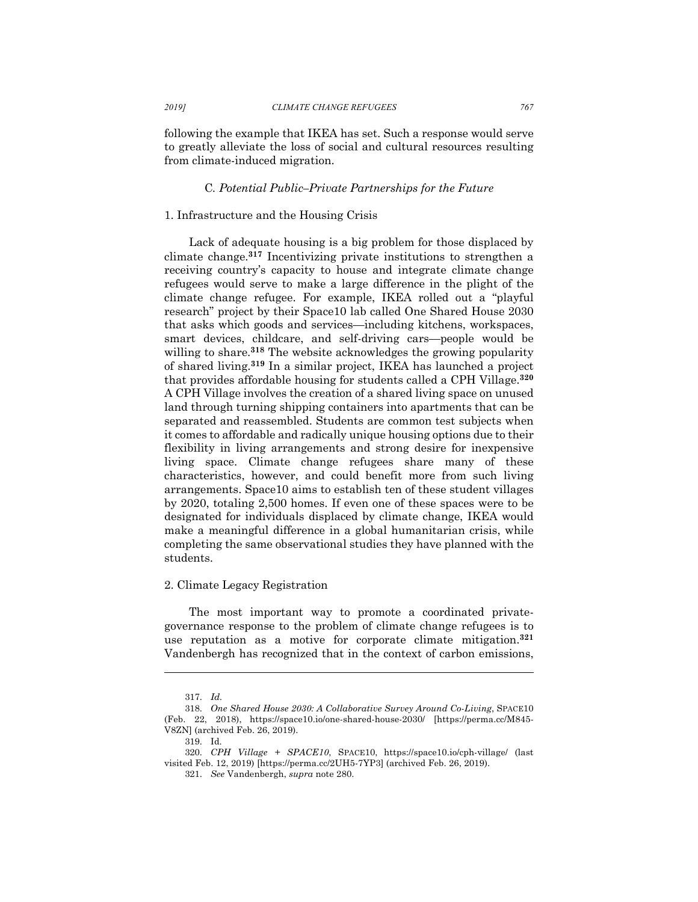following the example that IKEA has set. Such a response would serve to greatly alleviate the loss of social and cultural resources resulting from climate-induced migration.

## C*. Potential Public–Private Partnerships for the Future*

## 1. Infrastructure and the Housing Crisis

Lack of adequate housing is a big problem for those displaced by climate change.**<sup>317</sup>** Incentivizing private institutions to strengthen a receiving country's capacity to house and integrate climate change refugees would serve to make a large difference in the plight of the climate change refugee. For example, IKEA rolled out a "playful research" project by their Space10 lab called One Shared House 2030 that asks which goods and services—including kitchens, workspaces, smart devices, childcare, and self-driving cars—people would be willing to share.<sup>318</sup> The website acknowledges the growing popularity of shared living.**<sup>319</sup>** In a similar project, IKEA has launched a project that provides affordable housing for students called a CPH Village.**<sup>320</sup>** A CPH Village involves the creation of a shared living space on unused land through turning shipping containers into apartments that can be separated and reassembled. Students are common test subjects when it comes to affordable and radically unique housing options due to their flexibility in living arrangements and strong desire for inexpensive living space. Climate change refugees share many of these characteristics, however, and could benefit more from such living arrangements. Space10 aims to establish ten of these student villages by 2020, totaling 2,500 homes. If even one of these spaces were to be designated for individuals displaced by climate change, IKEA would make a meaningful difference in a global humanitarian crisis, while completing the same observational studies they have planned with the students.

#### 2. Climate Legacy Registration

The most important way to promote a coordinated privategovernance response to the problem of climate change refugees is to use reputation as a motive for corporate climate mitigation.**<sup>321</sup>** Vandenbergh has recognized that in the context of carbon emissions,

<sup>317.</sup> *Id.*

<sup>318.</sup> *One Shared House 2030: A Collaborative Survey Around Co-Living*, SPACE10 (Feb. 22, 2018), https://space10.io/one-shared-house-2030/ [https://perma.cc/M845- V8ZN] (archived Feb. 26, 2019).

<sup>319.</sup> Id.

<sup>320.</sup> *CPH Village + SPACE10*, SPACE10, https://space10.io/cph-village/ (last visited Feb. 12, 2019) [https://perma.cc/2UH5-7YP3] (archived Feb. 26, 2019).

<sup>321.</sup> *See* Vandenbergh, *supra* note 280.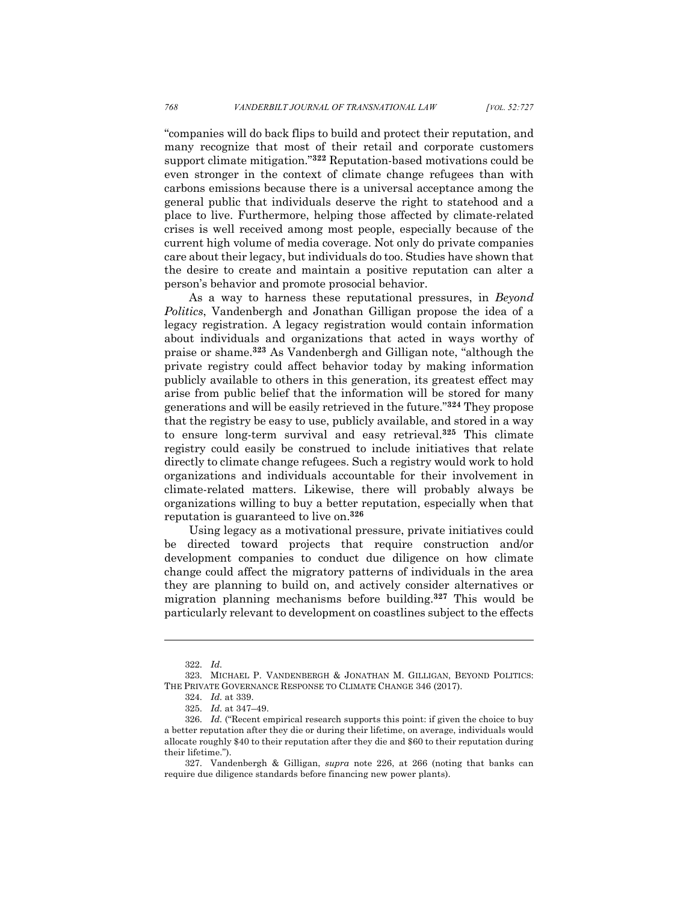"companies will do back flips to build and protect their reputation, and many recognize that most of their retail and corporate customers support climate mitigation."**<sup>322</sup>** Reputation-based motivations could be even stronger in the context of climate change refugees than with carbons emissions because there is a universal acceptance among the general public that individuals deserve the right to statehood and a place to live. Furthermore, helping those affected by climate-related crises is well received among most people, especially because of the current high volume of media coverage. Not only do private companies care about their legacy, but individuals do too. Studies have shown that the desire to create and maintain a positive reputation can alter a person's behavior and promote prosocial behavior.

As a way to harness these reputational pressures, in *Beyond Politics*, Vandenbergh and Jonathan Gilligan propose the idea of a legacy registration. A legacy registration would contain information about individuals and organizations that acted in ways worthy of praise or shame.**<sup>323</sup>** As Vandenbergh and Gilligan note, "although the private registry could affect behavior today by making information publicly available to others in this generation, its greatest effect may arise from public belief that the information will be stored for many generations and will be easily retrieved in the future."**<sup>324</sup>** They propose that the registry be easy to use, publicly available, and stored in a way to ensure long-term survival and easy retrieval.**<sup>325</sup>** This climate registry could easily be construed to include initiatives that relate directly to climate change refugees. Such a registry would work to hold organizations and individuals accountable for their involvement in climate-related matters. Likewise, there will probably always be organizations willing to buy a better reputation, especially when that reputation is guaranteed to live on.**<sup>326</sup>**

Using legacy as a motivational pressure, private initiatives could be directed toward projects that require construction and/or development companies to conduct due diligence on how climate change could affect the migratory patterns of individuals in the area they are planning to build on, and actively consider alternatives or migration planning mechanisms before building.**<sup>327</sup>** This would be particularly relevant to development on coastlines subject to the effects

<sup>322.</sup> *Id.*

<sup>323.</sup> MICHAEL P. VANDENBERGH & JONATHAN M. GILLIGAN, BEYOND POLITICS: THE PRIVATE GOVERNANCE RESPONSE TO CLIMATE CHANGE 346 (2017).

<sup>324.</sup> *Id.* at 339.

<sup>325.</sup> *Id.* at 347–49.

<sup>326.</sup> *Id.* ("Recent empirical research supports this point: if given the choice to buy a better reputation after they die or during their lifetime, on average, individuals would allocate roughly \$40 to their reputation after they die and \$60 to their reputation during their lifetime.").

<sup>327.</sup> Vandenbergh & Gilligan, *supra* note 226, at 266 (noting that banks can require due diligence standards before financing new power plants).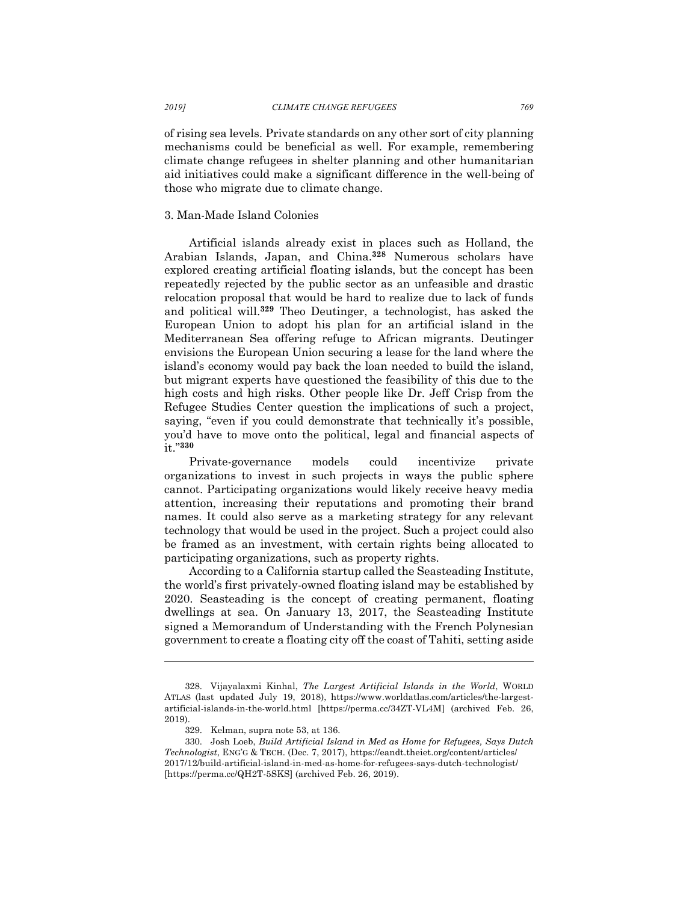of rising sea levels. Private standards on any other sort of city planning mechanisms could be beneficial as well. For example, remembering climate change refugees in shelter planning and other humanitarian aid initiatives could make a significant difference in the well-being of those who migrate due to climate change.

## 3. Man-Made Island Colonies

Artificial islands already exist in places such as Holland, the Arabian Islands, Japan, and China.**<sup>328</sup>** Numerous scholars have explored creating artificial floating islands, but the concept has been repeatedly rejected by the public sector as an unfeasible and drastic relocation proposal that would be hard to realize due to lack of funds and political will.**<sup>329</sup>** Theo Deutinger, a technologist, has asked the European Union to adopt his plan for an artificial island in the Mediterranean Sea offering refuge to African migrants. Deutinger envisions the European Union securing a lease for the land where the island's economy would pay back the loan needed to build the island, but migrant experts have questioned the feasibility of this due to the high costs and high risks. Other people like Dr. Jeff Crisp from the Refugee Studies Center question the implications of such a project, saying, "even if you could demonstrate that technically it's possible, you'd have to move onto the political, legal and financial aspects of it."**<sup>330</sup>**

Private-governance models could incentivize private organizations to invest in such projects in ways the public sphere cannot. Participating organizations would likely receive heavy media attention, increasing their reputations and promoting their brand names. It could also serve as a marketing strategy for any relevant technology that would be used in the project. Such a project could also be framed as an investment, with certain rights being allocated to participating organizations, such as property rights.

According to a California startup called the Seasteading Institute, the world's first privately-owned floating island may be established by 2020. Seasteading is the concept of creating permanent, floating dwellings at sea. On January 13, 2017, the Seasteading Institute signed a Memorandum of Understanding with the French Polynesian government to create a floating city off the coast of Tahiti, setting aside

<sup>328.</sup> Vijayalaxmi Kinhal, *The Largest Artificial Islands in the World*, WORLD ATLAS (last updated July 19, 2018), https://www.worldatlas.com/articles/the-largestartificial-islands-in-the-world.html [https://perma.cc/34ZT-VL4M] (archived Feb. 26, 2019).

<sup>329.</sup> Kelman, supra note 53, at 136.

<sup>330.</sup> Josh Loeb, *Build Artificial Island in Med as Home for Refugees, Says Dutch Technologist*, ENG'G & TECH. (Dec. 7, 2017), https://eandt.theiet.org/content/articles/ 2017/12/build-artificial-island-in-med-as-home-for-refugees-says-dutch-technologist/ [https://perma.cc/QH2T-5SKS] (archived Feb. 26, 2019).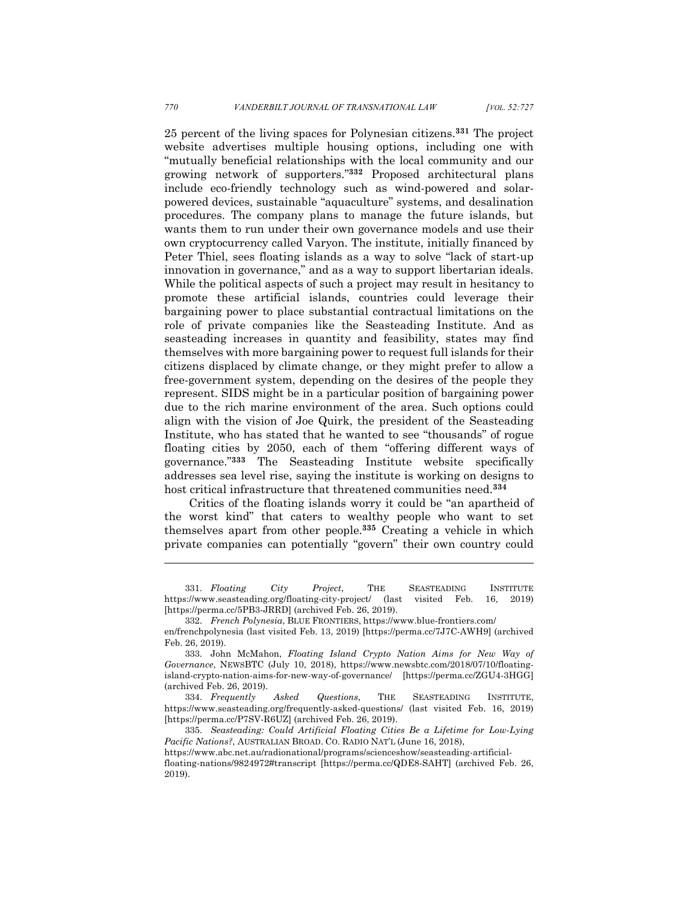25 percent of the living spaces for Polynesian citizens.**<sup>331</sup>** The project website advertises multiple housing options, including one with "mutually beneficial relationships with the local community and our growing network of supporters."**<sup>332</sup>** Proposed architectural plans include eco-friendly technology such as wind-powered and solarpowered devices, sustainable "aquaculture" systems, and desalination procedures. The company plans to manage the future islands, but wants them to run under their own governance models and use their own cryptocurrency called Varyon. The institute, initially financed by Peter Thiel, sees floating islands as a way to solve "lack of start-up innovation in governance," and as a way to support libertarian ideals. While the political aspects of such a project may result in hesitancy to promote these artificial islands, countries could leverage their bargaining power to place substantial contractual limitations on the role of private companies like the Seasteading Institute. And as seasteading increases in quantity and feasibility, states may find themselves with more bargaining power to request full islands for their citizens displaced by climate change, or they might prefer to allow a free-government system, depending on the desires of the people they represent. SIDS might be in a particular position of bargaining power due to the rich marine environment of the area. Such options could align with the vision of Joe Quirk, the president of the Seasteading Institute, who has stated that he wanted to see "thousands" of rogue floating cities by 2050, each of them "offering different ways of governance."**<sup>333</sup>** The Seasteading Institute website specifically addresses sea level rise, saying the institute is working on designs to host critical infrastructure that threatened communities need.**<sup>334</sup>**

Critics of the floating islands worry it could be "an apartheid of the worst kind" that caters to wealthy people who want to set themselves apart from other people.**<sup>335</sup>** Creating a vehicle in which private companies can potentially "govern" their own country could

<sup>331.</sup> *Floating City Project*, THE SEASTEADING INSTITUTE https://www.seasteading.org/floating-city-project/ (last visited Feb. 16, 2019) [https://perma.cc/5PB3-JRRD] (archived Feb. 26, 2019).

<sup>332.</sup> *French Polynesia*, BLUE FRONTIERS, https://www.blue-frontiers.com/

en/frenchpolynesia (last visited Feb. 13, 2019) [https://perma.cc/7J7C-AWH9] (archived Feb. 26, 2019).

<sup>333.</sup> John McMahon, *Floating Island Crypto Nation Aims for New Way of Governance*, NEWSBTC (July 10, 2018), https://www.newsbtc.com/2018/07/10/floatingisland-crypto-nation-aims-for-new-way-of-governance/ [https://perma.cc/ZGU4-3HGG] (archived Feb. 26, 2019).

<sup>334.</sup> *Frequently Asked Questions*, THE SEASTEADING INSTITUTE, https://www.seasteading.org/frequently-asked-questions/ (last visited Feb. 16, 2019) [https://perma.cc/P7SV-R6UZ] (archived Feb. 26, 2019).

<sup>335.</sup> *Seasteading: Could Artificial Floating Cities Be a Lifetime for Low-Lying Pacific Nations?*, AUSTRALIAN BROAD. CO. RADIO NAT'L (June 16, 2018),

https://www.abc.net.au/radionational/programs/scienceshow/seasteading-artificialfloating-nations/9824972#transcript [https://perma.cc/QDE8-SAHT] (archived Feb. 26, 2019).